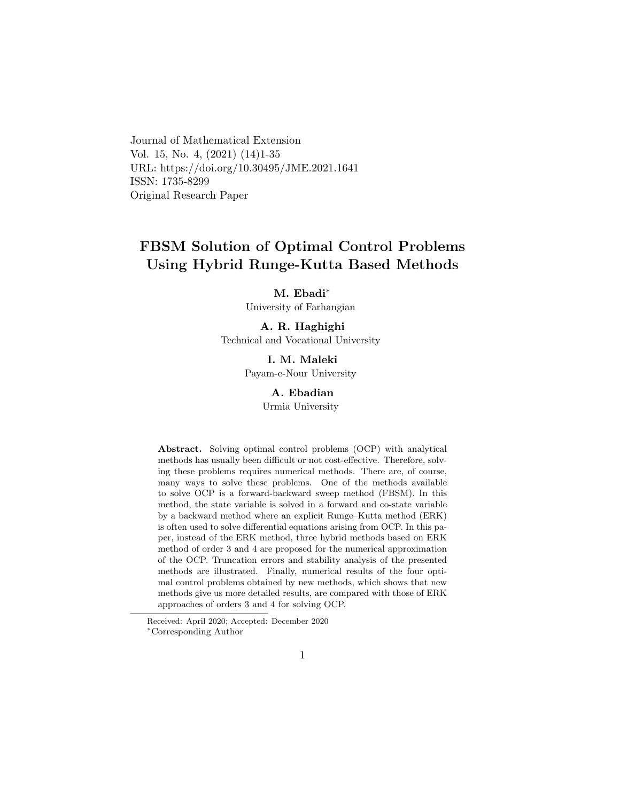Journal of Mathematical Extension Vol. 15, No. 4, (2021) (14)1-35 URL: https://doi.org/10.30495/JME.2021.1641 ISSN: 1735-8299 Original Research Paper

# FBSM Solution of Optimal Control Problems Using Hybrid Runge-Kutta Based Methods

M. Ebadi[∗](#page-0-0)

University of Farhangian

# A. R. Haghighi

Technical and Vocational University

I. M. Maleki Payam-e-Nour University

### A. Ebadian

Urmia University

Abstract. Solving optimal control problems (OCP) with analytical methods has usually been difficult or not cost-effective. Therefore, solving these problems requires numerical methods. There are, of course, many ways to solve these problems. One of the methods available to solve OCP is a forward-backward sweep method (FBSM). In this method, the state variable is solved in a forward and co-state variable by a backward method where an explicit Runge–Kutta method (ERK) is often used to solve differential equations arising from OCP. In this paper, instead of the ERK method, three hybrid methods based on ERK method of order 3 and 4 are proposed for the numerical approximation of the OCP. Truncation errors and stability analysis of the presented methods are illustrated. Finally, numerical results of the four optimal control problems obtained by new methods, which shows that new methods give us more detailed results, are compared with those of ERK approaches of orders 3 and 4 for solving OCP.

<span id="page-0-0"></span>Received: April 2020; Accepted: December 2020 <sup>∗</sup>Corresponding Author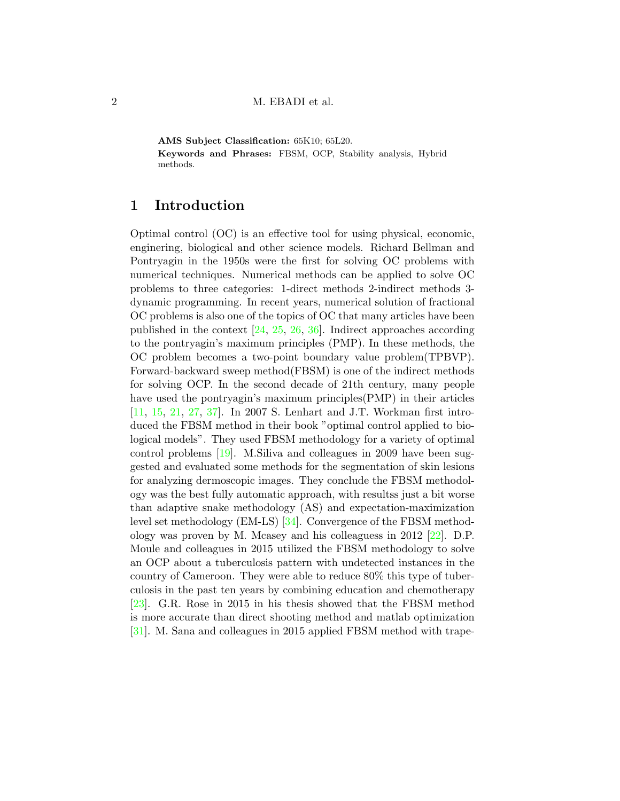AMS Subject Classification: 65K10; 65L20. Keywords and Phrases: FBSM, OCP, Stability analysis, Hybrid methods.

# 1 Introduction

Optimal control (OC) is an effective tool for using physical, economic, enginering, biological and other science models. Richard Bellman and Pontryagin in the 1950s were the first for solving OC problems with numerical techniques. Numerical methods can be applied to solve OC problems to three categories: 1-direct methods 2-indirect methods 3 dynamic programming. In recent years, numerical solution of fractional OC problems is also one of the topics of OC that many articles have been published in the context [\[24,](#page-31-0) [25,](#page-31-1) [26,](#page-32-0) [36\]](#page-33-0). Indirect approaches according to the pontryagin's maximum principles (PMP). In these methods, the OC problem becomes a two-point boundary value problem(TPBVP). Forward-backward sweep method(FBSM) is one of the indirect methods for solving OCP. In the second decade of 21th century, many people have used the pontryagin's maximum principles(PMP) in their articles [\[11,](#page-30-0) [15,](#page-30-1) [21,](#page-31-2) [27,](#page-32-1) [37\]](#page-33-1). In 2007 S. Lenhart and J.T. Workman first introduced the FBSM method in their book "optimal control applied to biological models". They used FBSM methodology for a variety of optimal control problems [\[19\]](#page-31-3). M.Siliva and colleagues in 2009 have been suggested and evaluated some methods for the segmentation of skin lesions for analyzing dermoscopic images. They conclude the FBSM methodology was the best fully automatic approach, with resultss just a bit worse than adaptive snake methodology (AS) and expectation-maximization level set methodology (EM-LS) [\[34\]](#page-32-2). Convergence of the FBSM methodology was proven by M. Mcasey and his colleaguess in 2012 [\[22\]](#page-31-4). D.P. Moule and colleagues in 2015 utilized the FBSM methodology to solve an OCP about a tuberculosis pattern with undetected instances in the country of Cameroon. They were able to reduce 80% this type of tuberculosis in the past ten years by combining education and chemotherapy [\[23\]](#page-31-5). G.R. Rose in 2015 in his thesis showed that the FBSM method is more accurate than direct shooting method and matlab optimization [\[31\]](#page-32-3). M. Sana and colleagues in 2015 applied FBSM method with trape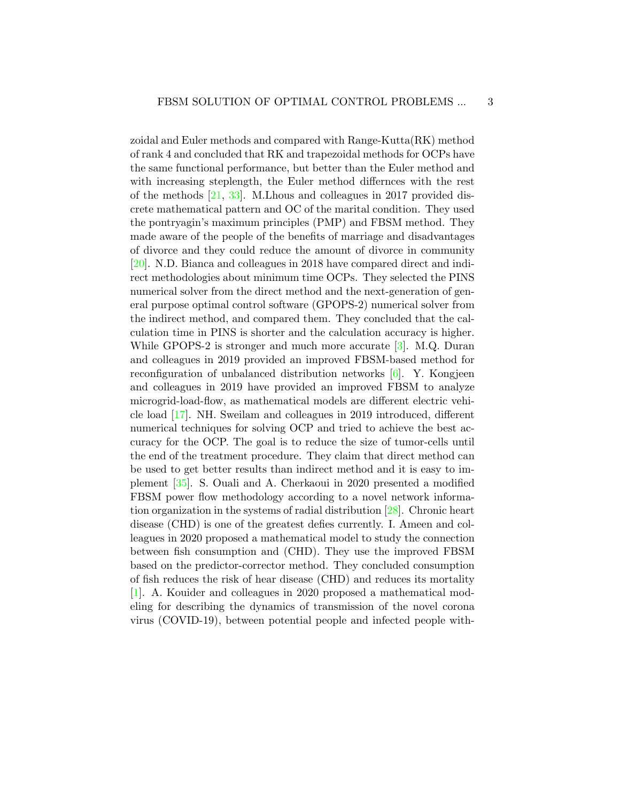zoidal and Euler methods and compared with Range-Kutta(RK) method of rank 4 and concluded that RK and trapezoidal methods for OCPs have the same functional performance, but better than the Euler method and with increasing steplength, the Euler method differnces with the rest of the methods [\[21,](#page-31-2) [33\]](#page-32-4). M.Lhous and colleagues in 2017 provided discrete mathematical pattern and OC of the marital condition. They used the pontryagin's maximum principles (PMP) and FBSM method. They made aware of the people of the benefits of marriage and disadvantages of divorce and they could reduce the amount of divorce in community [\[20\]](#page-31-6). N.D. Bianca and colleagues in 2018 have compared direct and indirect methodologies about minimum time OCPs. They selected the PINS numerical solver from the direct method and the next-generation of general purpose optimal control software (GPOPS-2) numerical solver from the indirect method, and compared them. They concluded that the calculation time in PINS is shorter and the calculation accuracy is higher. While GPOPS-2 is stronger and much more accurate [\[3\]](#page-29-0). M.Q. Duran and colleagues in 2019 provided an improved FBSM-based method for reconfiguration of unbalanced distribution networks [\[6\]](#page-29-1). Y. Kongjeen and colleagues in 2019 have provided an improved FBSM to analyze microgrid-load-flow, as mathematical models are different electric vehicle load [\[17\]](#page-31-7). NH. Sweilam and colleagues in 2019 introduced, different numerical techniques for solving OCP and tried to achieve the best accuracy for the OCP. The goal is to reduce the size of tumor-cells until the end of the treatment procedure. They claim that direct method can be used to get better results than indirect method and it is easy to implement [\[35\]](#page-33-2). S. Ouali and A. Cherkaoui in 2020 presented a modified FBSM power flow methodology according to a novel network information organization in the systems of radial distribution [\[28\]](#page-32-5). Chronic heart disease (CHD) is one of the greatest defies currently. I. Ameen and colleagues in 2020 proposed a mathematical model to study the connection between fish consumption and (CHD). They use the improved FBSM based on the predictor-corrector method. They concluded consumption of fish reduces the risk of hear disease (CHD) and reduces its mortality [\[1\]](#page-29-2). A. Kouider and colleagues in 2020 proposed a mathematical modeling for describing the dynamics of transmission of the novel corona virus (COVID-19), between potential people and infected people with-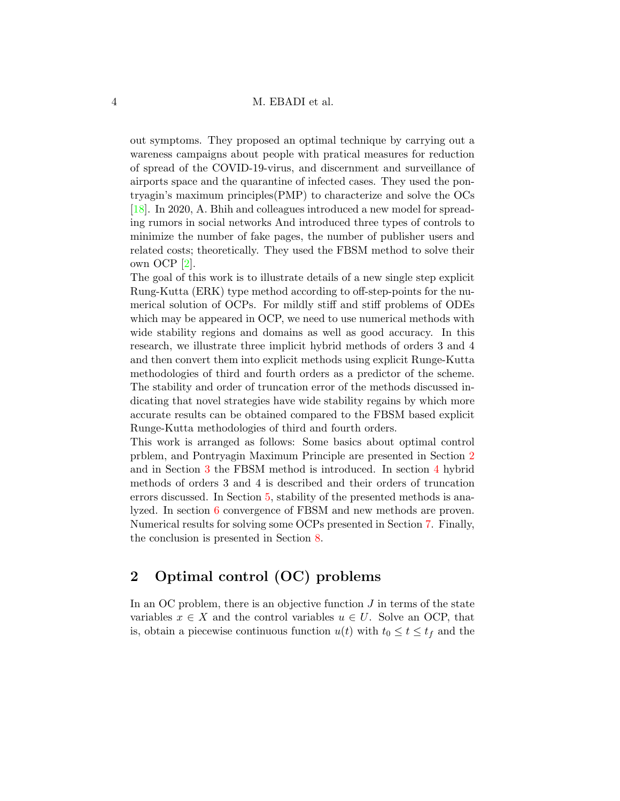out symptoms. They proposed an optimal technique by carrying out a wareness campaigns about people with pratical measures for reduction of spread of the COVID-19-virus, and discernment and surveillance of airports space and the quarantine of infected cases. They used the pontryagin's maximum principles(PMP) to characterize and solve the OCs [\[18\]](#page-31-8). In 2020, A. Bhih and colleagues introduced a new model for spreading rumors in social networks And introduced three types of controls to minimize the number of fake pages, the number of publisher users and related costs; theoretically. They used the FBSM method to solve their own OCP [\[2\]](#page-29-3).

The goal of this work is to illustrate details of a new single step explicit Rung-Kutta (ERK) type method according to off-step-points for the numerical solution of OCPs. For mildly stiff and stiff problems of ODEs which may be appeared in OCP, we need to use numerical methods with wide stability regions and domains as well as good accuracy. In this research, we illustrate three implicit hybrid methods of orders 3 and 4 and then convert them into explicit methods using explicit Runge-Kutta methodologies of third and fourth orders as a predictor of the scheme. The stability and order of truncation error of the methods discussed indicating that novel strategies have wide stability regains by which more accurate results can be obtained compared to the FBSM based explicit Runge-Kutta methodologies of third and fourth orders.

This work is arranged as follows: Some basics about optimal control prblem, and Pontryagin Maximum Principle are presented in Section [2](#page-3-0) and in Section [3](#page-5-0) the FBSM method is introduced. In section [4](#page-7-0) hybrid methods of orders 3 and 4 is described and their orders of truncation errors discussed. In Section [5,](#page-11-0) stability of the presented methods is analyzed. In section [6](#page-15-0) convergence of FBSM and new methods are proven. Numerical results for solving some OCPs presented in Section [7.](#page-17-0) Finally, the conclusion is presented in Section [8.](#page-27-0)

# <span id="page-3-0"></span>2 Optimal control (OC) problems

In an OC problem, there is an objective function  $J$  in terms of the state variables  $x \in X$  and the control variables  $u \in U$ . Solve an OCP, that is, obtain a piecewise continuous function  $u(t)$  with  $t_0 \le t \le t_f$  and the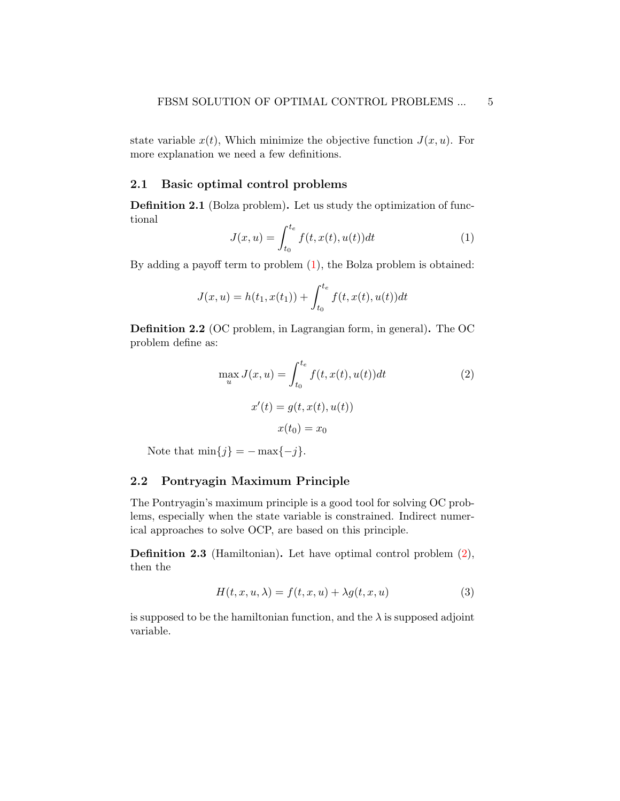state variable  $x(t)$ , Which minimize the objective function  $J(x, u)$ . For more explanation we need a few definitions.

## 2.1 Basic optimal control problems

Definition 2.1 (Bolza problem). Let us study the optimization of functional

<span id="page-4-0"></span>
$$
J(x, u) = \int_{t_0}^{t_e} f(t, x(t), u(t))dt
$$
 (1)

By adding a payoff term to problem  $(1)$ , the Bolza problem is obtained:

$$
J(x, u) = h(t_1, x(t_1)) + \int_{t_0}^{t_e} f(t, x(t), u(t)) dt
$$

Definition 2.2 (OC problem, in Lagrangian form, in general). The OC problem define as:

<span id="page-4-1"></span>
$$
\max_{u} J(x, u) = \int_{t_0}^{t_e} f(t, x(t), u(t))dt
$$
\n
$$
x'(t) = g(t, x(t), u(t))
$$
\n
$$
x(t_0) = x_0
$$
\n(2)

Note that  $\min\{j\} = -\max\{-j\}.$ 

## 2.2 Pontryagin Maximum Principle

The Pontryagin's maximum principle is a good tool for solving OC problems, especially when the state variable is constrained. Indirect numerical approaches to solve OCP, are based on this principle.

Definition 2.3 (Hamiltonian). Let have optimal control problem [\(2\)](#page-4-1), then the

<span id="page-4-2"></span>
$$
H(t, x, u, \lambda) = f(t, x, u) + \lambda g(t, x, u)
$$
\n(3)

is supposed to be the hamiltonian function, and the  $\lambda$  is supposed adjoint variable.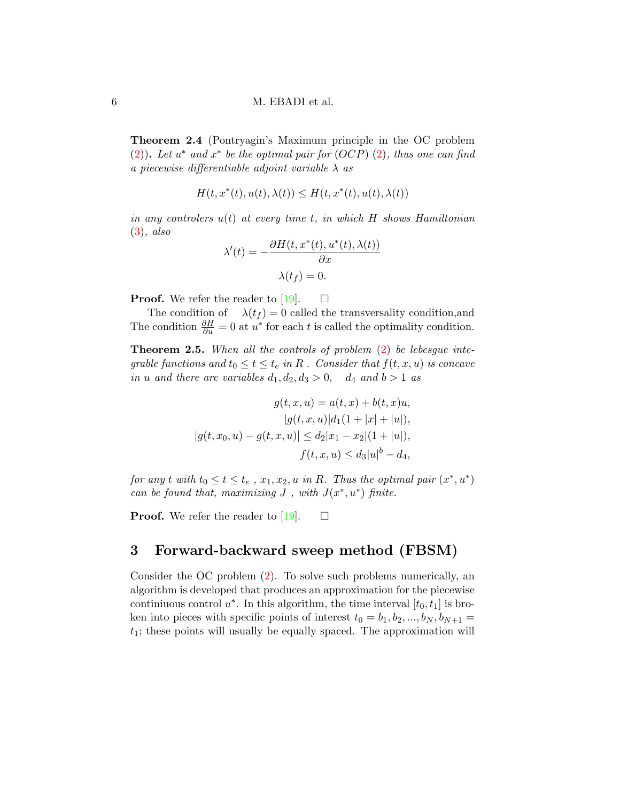Theorem 2.4 (Pontryagin's Maximum principle in the OC problem [\(2\)](#page-4-1)). Let  $u^*$  and  $x^*$  be the optimal pair for  $(OCP)$  (2), thus one can find a piecewise differentiable adjoint variable  $\lambda$  as

$$
H(t, x^*(t), u(t), \lambda(t)) \le H(t, x^*(t), u(t), \lambda(t))
$$

in any controlers  $u(t)$  at every time t, in which H shows Hamiltonian [\(3\)](#page-4-2), also

$$
\lambda'(t) = -\frac{\partial H(t, x^*(t), u^*(t), \lambda(t))}{\partial x}
$$

$$
\lambda(t_f) = 0.
$$

**Proof.** We refer the reader to [\[19\]](#page-31-3).  $\Box$ 

The condition of  $\lambda(t_f) = 0$  called the transversality condition, and The condition  $\frac{\partial H}{\partial u} = 0$  at  $u^*$  for each t is called the optimality condition.

Theorem 2.5. When all the controls of problem  $(2)$  be lebesgue integrable functions and  $t_0 \le t \le t_e$  in R. Consider that  $f(t, x, u)$  is concave in u and there are variables  $d_1, d_2, d_3 > 0$ ,  $d_4$  and  $b > 1$  as

$$
g(t, x, u) = a(t, x) + b(t, x)u,
$$

$$
|g(t, x, u)|d_1(1 + |x| + |u|),
$$

$$
|g(t, x_0, u) - g(t, x, u)| \le d_2|x_1 - x_2|(1 + |u|),
$$

$$
f(t, x, u) \le d_3|u|^b - d_4,
$$

for any t with  $t_0 \le t \le t_e$ ,  $x_1, x_2, u$  in R. Thus the optimal pair  $(x^*, u^*)$ can be found that, maximizing  $J$ , with  $J(x^*, u^*)$  finite.

**Proof.** We refer the reader to [\[19\]](#page-31-3).  $\Box$ 

## <span id="page-5-0"></span>3 Forward-backward sweep method (FBSM)

Consider the OC problem [\(2\)](#page-4-1). To solve such problems numerically, an algorithm is developed that produces an approximation for the piecewise continiuous control  $u^*$ . In this algorithm, the time interval  $[t_0, t_1]$  is broken into pieces with specific points of interest  $t_0 = b_1, b_2, ..., b_N, b_{N+1} =$  $t_1$ ; these points will usually be equally spaced. The approximation will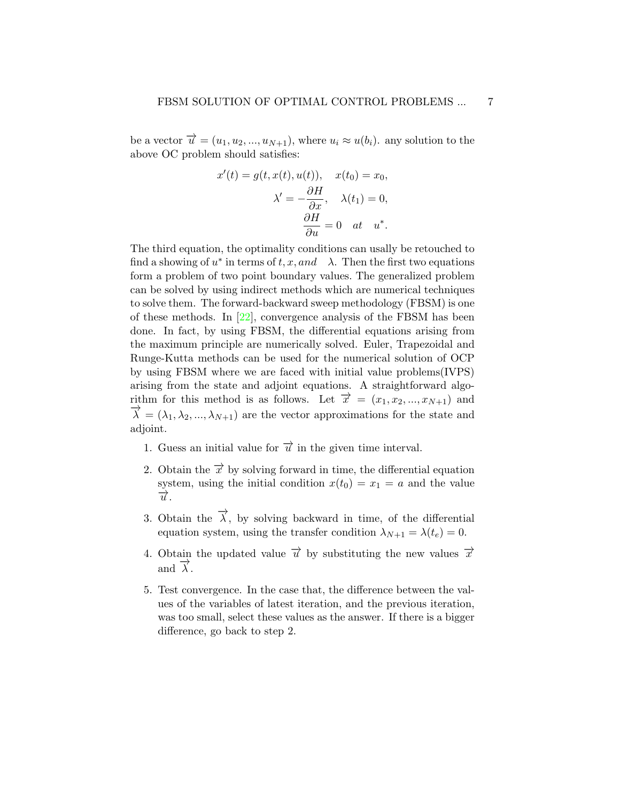be a vector  $\overrightarrow{u} = (u_1, u_2, ..., u_{N+1}),$  where  $u_i \approx u(b_i)$ . any solution to the above OC problem should satisfies:

$$
x'(t) = g(t, x(t), u(t)), \quad x(t_0) = x_0,
$$

$$
\lambda' = -\frac{\partial H}{\partial x}, \quad \lambda(t_1) = 0,
$$

$$
\frac{\partial H}{\partial u} = 0 \quad at \quad u^*.
$$

The third equation, the optimality conditions can usally be retouched to find a showing of  $u^*$  in terms of  $t, x, and \lambda$ . Then the first two equations form a problem of two point boundary values. The generalized problem can be solved by using indirect methods which are numerical techniques to solve them. The forward-backward sweep methodology (FBSM) is one of these methods. In [\[22\]](#page-31-4), convergence analysis of the FBSM has been done. In fact, by using FBSM, the differential equations arising from the maximum principle are numerically solved. Euler, Trapezoidal and Runge-Kutta methods can be used for the numerical solution of OCP by using FBSM where we are faced with initial value problems(IVPS) arising from the state and adjoint equations. A straightforward algorithm for this method is as follows. Let  $\overrightarrow{x} = (x_1, x_2, ..., x_{N+1})$  and  $\vec{\lambda} = (\lambda_1, \lambda_2, ..., \lambda_{N+1})$  are the vector approximations for the state and adjoint.

- 1. Guess an initial value for  $\vec{u}$  in the given time interval.
- 2. Obtain the  $\vec{x}$  by solving forward in time, the differential equation system, using the initial condition  $x(t_0) = x_1 = a$  and the value  $\overrightarrow{u}$ .
- 3. Obtain the  $\overrightarrow{\lambda}$ , by solving backward in time, of the differential equation system, using the transfer condition  $\lambda_{N+1} = \lambda(t_e) = 0$ .
- 4. Obtain the updated value  $\vec{u}$  by substituting the new values  $\vec{x}$  $\overrightarrow{\lambda}$  and  $\overrightarrow{\lambda}$ .
- 5. Test convergence. In the case that, the difference between the values of the variables of latest iteration, and the previous iteration, was too small, select these values as the answer. If there is a bigger difference, go back to step 2.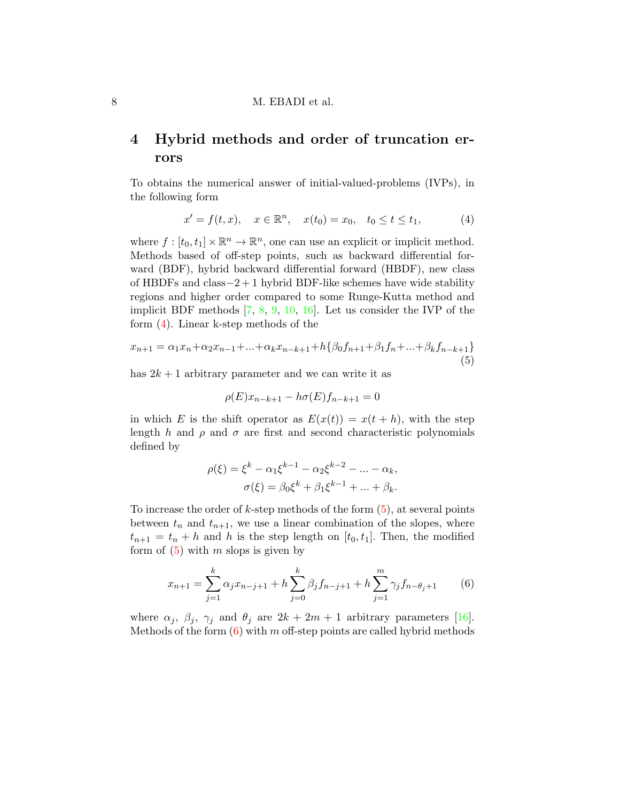# <span id="page-7-0"></span>4 Hybrid methods and order of truncation errors

To obtains the numerical answer of initial-valued-problems (IVPs), in the following form

<span id="page-7-1"></span>
$$
x' = f(t, x), \quad x \in \mathbb{R}^n, \quad x(t_0) = x_0, \quad t_0 \le t \le t_1,
$$
 (4)

where  $f : [t_0, t_1] \times \mathbb{R}^n \to \mathbb{R}^n$ , one can use an explicit or implicit method. Methods based of off-step points, such as backward differential forward (BDF), hybrid backward differential forward (HBDF), new class of HBDFs and class−2 + 1 hybrid BDF-like schemes have wide stability regions and higher order compared to some Runge-Kutta method and implicit BDF methods [\[7,](#page-30-2) [8,](#page-30-3) [9,](#page-30-4) [10,](#page-30-5) [16\]](#page-30-6). Let us consider the IVP of the form [\(4\)](#page-7-1). Linear k-step methods of the

<span id="page-7-2"></span>
$$
x_{n+1} = \alpha_1 x_n + \alpha_2 x_{n-1} + \dots + \alpha_k x_{n-k+1} + h \{ \beta_0 f_{n+1} + \beta_1 f_n + \dots + \beta_k f_{n-k+1} \}
$$
  
(5)

has  $2k + 1$  arbitrary parameter and we can write it as

$$
\rho(E)x_{n-k+1} - h\sigma(E)f_{n-k+1} = 0
$$

in which E is the shift operator as  $E(x(t)) = x(t + h)$ , with the step length h and  $\rho$  and  $\sigma$  are first and second characteristic polynomials defined by

$$
\rho(\xi) = \xi^{k} - \alpha_{1} \xi^{k-1} - \alpha_{2} \xi^{k-2} - \dots - \alpha_{k},
$$
  

$$
\sigma(\xi) = \beta_{0} \xi^{k} + \beta_{1} \xi^{k-1} + \dots + \beta_{k}.
$$

To increase the order of k-step methods of the form  $(5)$ , at several points between  $t_n$  and  $t_{n+1}$ , we use a linear combination of the slopes, where  $t_{n+1} = t_n + h$  and h is the step length on [ $t_0, t_1$ ]. Then, the modified form of  $(5)$  with m slops is given by

<span id="page-7-3"></span>
$$
x_{n+1} = \sum_{j=1}^{k} \alpha_j x_{n-j+1} + h \sum_{j=0}^{k} \beta_j f_{n-j+1} + h \sum_{j=1}^{m} \gamma_j f_{n-\theta_j+1}
$$
(6)

where  $\alpha_j$ ,  $\beta_j$ ,  $\gamma_j$  and  $\theta_j$  are  $2k + 2m + 1$  arbitrary parameters [\[16\]](#page-30-6). Methods of the form  $(6)$  with m off-step points are called hybrid methods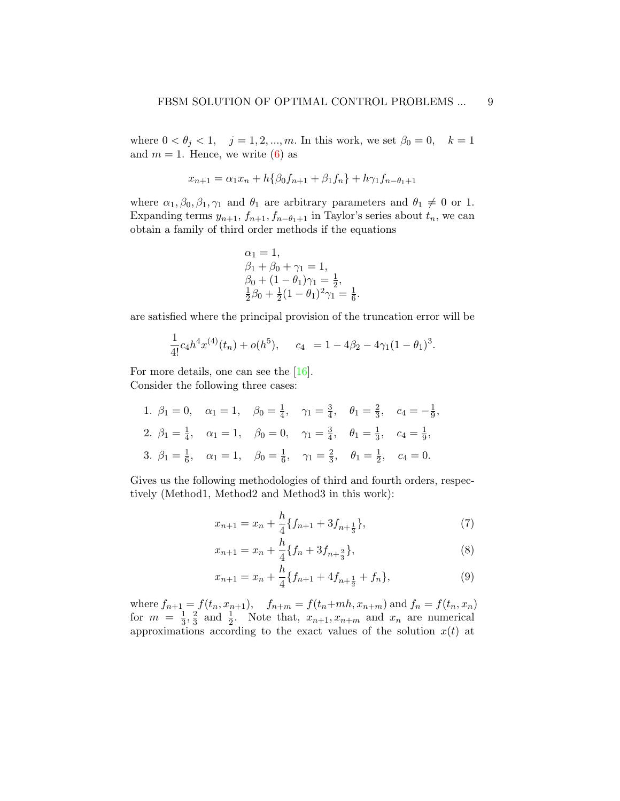where  $0 < \theta_j < 1, \quad j = 1, 2, ..., m$ . In this work, we set  $\beta_0 = 0, \quad k = 1$ and  $m = 1$ . Hence, we write [\(6\)](#page-7-3) as

$$
x_{n+1} = \alpha_1 x_n + h \{ \beta_0 f_{n+1} + \beta_1 f_n \} + h \gamma_1 f_{n-\theta_1+1}
$$

where  $\alpha_1, \beta_0, \beta_1, \gamma_1$  and  $\theta_1$  are arbitrary parameters and  $\theta_1 \neq 0$  or 1. Expanding terms  $y_{n+1}$ ,  $f_{n+1}$ ,  $f_{n-\theta_1+1}$  in Taylor's series about  $t_n$ , we can obtain a family of third order methods if the equations

$$
\alpha_1 = 1,\n\beta_1 + \beta_0 + \gamma_1 = 1,\n\beta_0 + (1 - \theta_1)\gamma_1 = \frac{1}{2},\n\frac{1}{2}\beta_0 + \frac{1}{2}(1 - \theta_1)^2\gamma_1 = \frac{1}{6}.
$$

are satisfied where the principal provision of the truncation error will be

$$
\frac{1}{4!}c_4h^4x^{(4)}(t_n) + o(h^5), \quad c_4 = 1 - 4\beta_2 - 4\gamma_1(1 - \theta_1)^3.
$$

For more details, one can see the [\[16\]](#page-30-6). Consider the following three cases:

1.  $\beta_1 = 0$ ,  $\alpha_1 = 1$ ,  $\beta_0 = \frac{1}{4}$  $\frac{1}{4}$ ,  $\gamma_1 = \frac{3}{4}$  $\frac{3}{4}$ ,  $\theta_1 = \frac{2}{3}$  $\frac{2}{3}$ ,  $c_4 = -\frac{1}{9}$  $\frac{1}{9}$ , 2.  $\beta_1 = \frac{1}{4}$  $\frac{1}{4}$ ,  $\alpha_1 = 1$ ,  $\beta_0 = 0$ ,  $\gamma_1 = \frac{3}{4}$  $\frac{3}{4}$ ,  $\theta_1 = \frac{1}{3}$  $\frac{1}{3}$ ,  $c_4 = \frac{1}{9}$  $\frac{1}{9}$ , 3.  $\beta_1 = \frac{1}{6}$  $\frac{1}{6}$ ,  $\alpha_1 = 1$ ,  $\beta_0 = \frac{1}{6}$  $\frac{1}{6}$ ,  $\gamma_1 = \frac{2}{3}$  $\frac{2}{3}$ ,  $\theta_1 = \frac{1}{2}$  $\frac{1}{2}$ ,  $c_4 = 0$ .

Gives us the following methodologies of third and fourth orders, respectively (Method1, Method2 and Method3 in this work):

<span id="page-8-0"></span>
$$
x_{n+1} = x_n + \frac{h}{4} \{ f_{n+1} + 3f_{n + \frac{1}{3}} \},\tag{7}
$$

$$
x_{n+1} = x_n + \frac{h}{4} \{ f_n + 3f_{n + \frac{2}{3}} \},\tag{8}
$$

<span id="page-8-1"></span>
$$
x_{n+1} = x_n + \frac{h}{4} \{ f_{n+1} + 4f_{n+\frac{1}{2}} + f_n \},\tag{9}
$$

where  $f_{n+1} = f(t_n, x_{n+1}),$   $f_{n+m} = f(t_n + mh, x_{n+m})$  and  $f_n = f(t_n, x_n)$ for  $m = \frac{1}{3}$  $\frac{1}{3}, \frac{2}{3}$  $\frac{2}{3}$  and  $\frac{1}{2}$ . Note that,  $x_{n+1}, x_{n+m}$  and  $x_n$  are numerical approximations according to the exact values of the solution  $x(t)$  at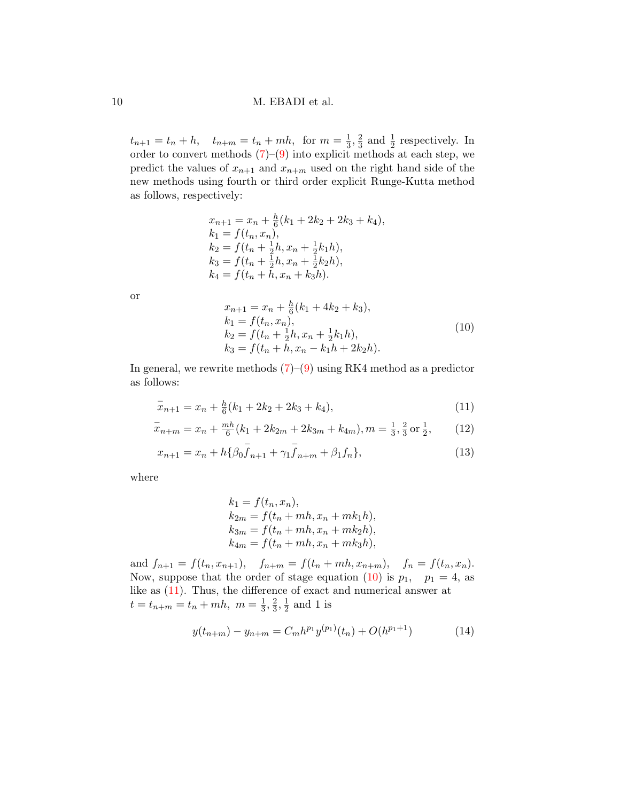$t_{n+1} = t_n + h$ ,  $t_{n+m} = t_n + mh$ , for  $m = \frac{1}{3}$  $\frac{1}{3}, \frac{2}{3}$  $\frac{2}{3}$  and  $\frac{1}{2}$  respectively. In order to convert methods [\(7\)](#page-8-0)–[\(9\)](#page-8-1) into explicit methods at each step, we predict the values of  $x_{n+1}$  and  $x_{n+m}$  used on the right hand side of the new methods using fourth or third order explicit Runge-Kutta method as follows, respectively:

$$
x_{n+1} = x_n + \frac{h}{6}(k_1 + 2k_2 + 2k_3 + k_4),
$$
  
\n
$$
k_1 = f(t_n, x_n),
$$
  
\n
$$
k_2 = f(t_n + \frac{1}{2}h, x_n + \frac{1}{2}k_1h),
$$
  
\n
$$
k_3 = f(t_n + \frac{1}{2}h, x_n + \frac{1}{2}k_2h),
$$
  
\n
$$
k_4 = f(t_n + h, x_n + k_3h).
$$

or

<span id="page-9-1"></span><span id="page-9-0"></span>
$$
x_{n+1} = x_n + \frac{h}{6}(k_1 + 4k_2 + k_3),
$$
  
\n
$$
k_1 = f(t_n, x_n),
$$
  
\n
$$
k_2 = f(t_n + \frac{1}{2}h, x_n + \frac{1}{2}k_1h),
$$
  
\n
$$
k_3 = f(t_n + h, x_n - k_1h + 2k_2h).
$$
\n(10)

In general, we rewrite methods  $(7)-(9)$  $(7)-(9)$  $(7)-(9)$  using RK4 method as a predictor as follows:

$$
\bar{x}_{n+1} = x_n + \frac{h}{6}(k_1 + 2k_2 + 2k_3 + k_4),\tag{11}
$$

$$
\bar{x}_{n+m} = x_n + \frac{mh}{6}(k_1 + 2k_{2m} + 2k_{3m} + k_{4m}), m = \frac{1}{3}, \frac{2}{3} \text{ or } \frac{1}{2},
$$
 (12)

$$
x_{n+1} = x_n + h\{\beta_0 \bar{f}_{n+1} + \gamma_1 \bar{f}_{n+m} + \beta_1 f_n\},\tag{13}
$$

where

<span id="page-9-3"></span><span id="page-9-2"></span>
$$
k_1 = f(t_n, x_n),
$$
  
\n
$$
k_{2m} = f(t_n + mh, x_n + mk_1h),
$$
  
\n
$$
k_{3m} = f(t_n + mh, x_n + mk_2h),
$$
  
\n
$$
k_{4m} = f(t_n + mh, x_n + mk_3h),
$$

and  $f_{n+1} = f(t_n, x_{n+1}),$   $f_{n+m} = f(t_n + mh, x_{n+m}),$   $f_n = f(t_n, x_n).$ Now, suppose that the order of stage equation [\(10\)](#page-9-0) is  $p_1$ ,  $p_1 = 4$ , as like as [\(11\)](#page-9-1). Thus, the difference of exact and numerical answer at  $t = t_{n+m} = t_n + mh, m = \frac{1}{3}$  $\frac{1}{3}, \frac{2}{3}$  $\frac{2}{3}, \frac{1}{2}$  $\frac{1}{2}$  and 1 is

<span id="page-9-4"></span>
$$
y(t_{n+m}) - y_{n+m} = C_m h^{p_1} y^{(p_1)}(t_n) + O(h^{p_1+1})
$$
\n(14)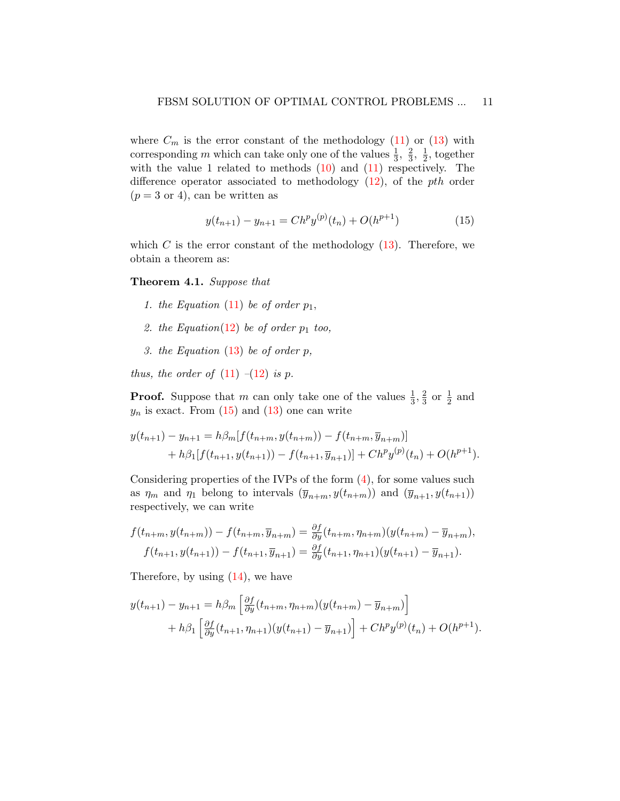where  $C_m$  is the error constant of the methodology [\(11\)](#page-9-1) or [\(13\)](#page-9-2) with corresponding m which can take only one of the values  $\frac{1}{3}$ ,  $\frac{2}{3}$  $\frac{2}{3}, \frac{1}{2}$  $\frac{1}{2}$ , together with the value 1 related to methods  $(10)$  and  $(11)$  respectively. The difference operator associated to methodology  $(12)$ , of the *pth* order  $(p = 3 \text{ or } 4)$ , can be written as

<span id="page-10-0"></span>
$$
y(t_{n+1}) - y_{n+1} = Ch^p y^{(p)}(t_n) + O(h^{p+1})
$$
\n(15)

which C is the error constant of the methodology  $(13)$ . Therefore, we obtain a theorem as:

## Theorem 4.1. Suppose that

- 1. the Equation [\(11\)](#page-9-1) be of order  $p_1$ ,
- 2. the Equation[\(12\)](#page-9-3) be of order  $p_1$  too,
- 3. the Equation  $(13)$  be of order p,

thus, the order of  $(11)$  – $(12)$  is p.

**Proof.** Suppose that m can only take one of the values  $\frac{1}{3}$ ,  $\frac{2}{3}$  $\frac{2}{3}$  or  $\frac{1}{2}$  and  $y_n$  is exact. From  $(15)$  and  $(13)$  one can write

$$
y(t_{n+1}) - y_{n+1} = h\beta_m[f(t_{n+m}, y(t_{n+m})) - f(t_{n+m}, \overline{y}_{n+m})]
$$
  
+  $h\beta_1[f(t_{n+1}, y(t_{n+1})) - f(t_{n+1}, \overline{y}_{n+1})] + Ch^p y^{(p)}(t_n) + O(h^{p+1}).$ 

Considering properties of the IVPs of the form [\(4\)](#page-7-1), for some values such as  $\eta_m$  and  $\eta_1$  belong to intervals  $(\overline{y}_{n+m}, y(t_{n+m}))$  and  $(\overline{y}_{n+1}, y(t_{n+1}))$ respectively, we can write

$$
f(t_{n+m}, y(t_{n+m})) - f(t_{n+m}, \overline{y}_{n+m}) = \frac{\partial f}{\partial y}(t_{n+m}, \eta_{n+m})(y(t_{n+m}) - \overline{y}_{n+m}),
$$
  

$$
f(t_{n+1}, y(t_{n+1})) - f(t_{n+1}, \overline{y}_{n+1}) = \frac{\partial f}{\partial y}(t_{n+1}, \eta_{n+1})(y(t_{n+1}) - \overline{y}_{n+1}).
$$

Therefore, by using [\(14\)](#page-9-4), we have

$$
y(t_{n+1}) - y_{n+1} = h\beta_m \left[ \frac{\partial f}{\partial y}(t_{n+m}, \eta_{n+m})(y(t_{n+m}) - \overline{y}_{n+m}) \right] + h\beta_1 \left[ \frac{\partial f}{\partial y}(t_{n+1}, \eta_{n+1})(y(t_{n+1}) - \overline{y}_{n+1}) \right] + Ch^p y^{(p)}(t_n) + O(h^{p+1}).
$$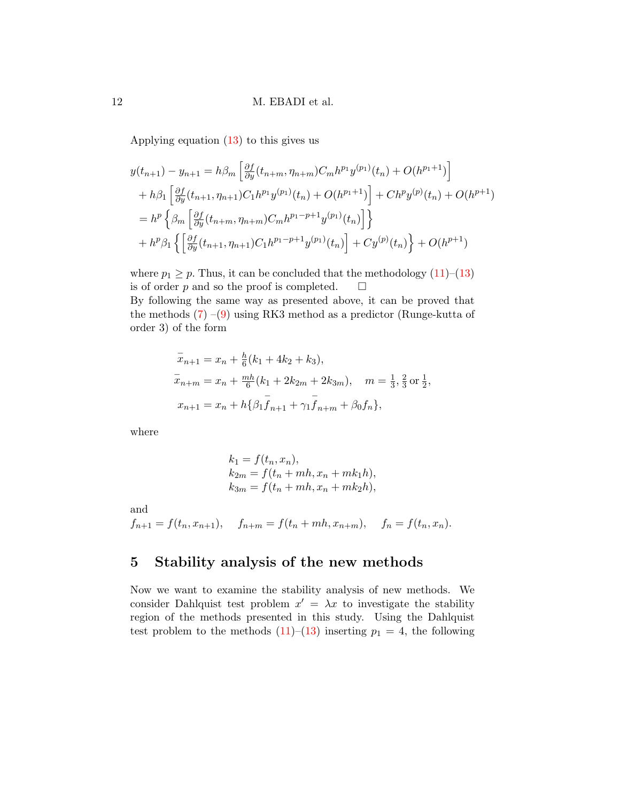Applying equation [\(13\)](#page-9-2) to this gives us

$$
y(t_{n+1}) - y_{n+1} = h\beta_m \left[ \frac{\partial f}{\partial y}(t_{n+m}, \eta_{n+m}) C_m h^{p_1} y^{(p_1)}(t_n) + O(h^{p_1+1}) \right]
$$
  
+  $h\beta_1 \left[ \frac{\partial f}{\partial y}(t_{n+1}, \eta_{n+1}) C_1 h^{p_1} y^{(p_1)}(t_n) + O(h^{p_1+1}) \right] + C h^p y^{(p)}(t_n) + O(h^{p+1})$   
=  $h^p \left\{ \beta_m \left[ \frac{\partial f}{\partial y}(t_{n+m}, \eta_{n+m}) C_m h^{p_1-p+1} y^{(p_1)}(t_n) \right] \right\}$   
+  $h^p \beta_1 \left\{ \left[ \frac{\partial f}{\partial y}(t_{n+1}, \eta_{n+1}) C_1 h^{p_1-p+1} y^{(p_1)}(t_n) \right] + C y^{(p)}(t_n) \right\} + O(h^{p+1})$ 

where  $p_1 \geq p$ . Thus, it can be concluded that the methodology [\(11\)](#page-9-1)–[\(13\)](#page-9-2) is of order p and so the proof is completed.  $\square$ 

By following the same way as presented above, it can be proved that the methods  $(7)$  –[\(9\)](#page-8-1) using RK3 method as a predictor (Runge-kutta of order 3) of the form

$$
\overline{x}_{n+1} = x_n + \frac{h}{6}(k_1 + 4k_2 + k_3),
$$
  
\n
$$
\overline{x}_{n+m} = x_n + \frac{mh}{6}(k_1 + 2k_2m + 2k_3m), \quad m = \frac{1}{3}, \frac{2}{3} \text{ or } \frac{1}{2},
$$
  
\n
$$
x_{n+1} = x_n + h\{\beta_1 \overline{f}_{n+1} + \gamma_1 \overline{f}_{n+m} + \beta_0 f_n\},
$$

where

$$
k_1 = f(t_n, x_n),
$$
  
\n
$$
k_{2m} = f(t_n + mh, x_n + mk_1h),
$$
  
\n
$$
k_{3m} = f(t_n + mh, x_n + mk_2h),
$$

and

$$
f_{n+1} = f(t_n, x_{n+1}),
$$
  $f_{n+m} = f(t_n + mh, x_{n+m}),$   $f_n = f(t_n, x_n).$ 

# <span id="page-11-0"></span>5 Stability analysis of the new methods

Now we want to examine the stability analysis of new methods. We consider Dahlquist test problem  $x' = \lambda x$  to investigate the stability region of the methods presented in this study. Using the Dahlquist test problem to the methods  $(11)$ – $(13)$  inserting  $p_1 = 4$ , the following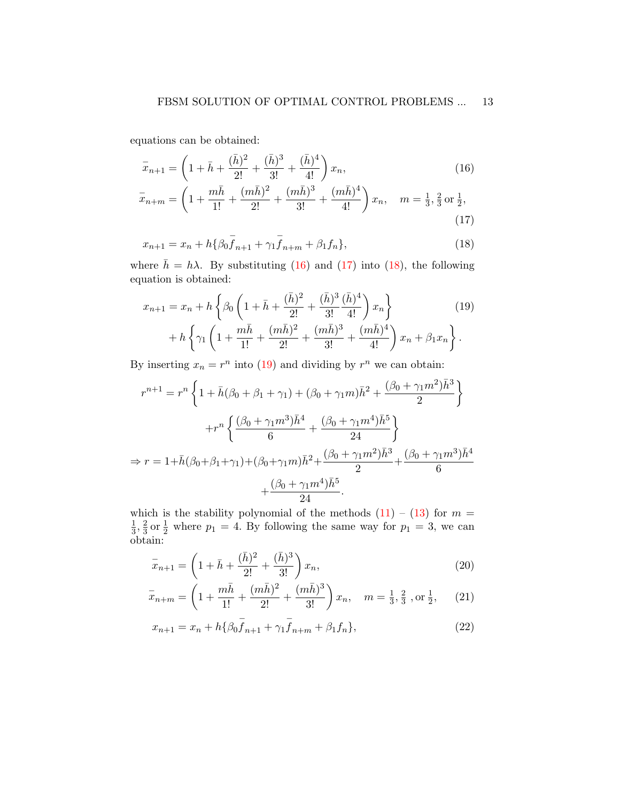equations can be obtained:

<span id="page-12-0"></span>
$$
\bar{x}_{n+1} = \left(1 + \bar{h} + \frac{(\bar{h})^2}{2!} + \frac{(\bar{h})^3}{3!} + \frac{(\bar{h})^4}{4!} \right) x_n,
$$
\n
$$
= \left(1 + \bar{h} + \frac{(\bar{h})^2}{2!} + \frac{(\bar{h})^3}{4!} \right) (m\bar{h})^4
$$
\n
$$
= \left(1 + \bar{h} + \frac{(\bar{h})^2}{2!} + \frac{(\bar{h})^3}{4!} \right) (m\bar{h})^4
$$
\n
$$
= 1 + 2 = 1
$$
\n(16)

$$
\bar{x}_{n+m} = \left(1 + \frac{mh}{1!} + \frac{(mh)^2}{2!} + \frac{(mh)^3}{3!} + \frac{(mh)^4}{4!}\right)x_n, \quad m = \frac{1}{3}, \frac{2}{3} \text{ or } \frac{1}{2},\tag{17}
$$

<span id="page-12-2"></span><span id="page-12-1"></span>
$$
x_{n+1} = x_n + h\{\beta_0 f_{n+1} + \gamma_1 f_{n+m} + \beta_1 f_n\},\tag{18}
$$

where  $\bar{h} = h\lambda$ . By substituting [\(16\)](#page-12-0) and [\(17\)](#page-12-1) into [\(18\)](#page-12-2), the following equation is obtained:

<span id="page-12-3"></span>
$$
x_{n+1} = x_n + h \left\{ \beta_0 \left( 1 + \bar{h} + \frac{(\bar{h})^2}{2!} + \frac{(\bar{h})^3}{3!} \frac{(\bar{h})^4}{4!} \right) x_n \right\} + h \left\{ \gamma_1 \left( 1 + \frac{m\bar{h}}{1!} + \frac{(m\bar{h})^2}{2!} + \frac{(m\bar{h})^3}{3!} + \frac{(m\bar{h})^4}{4!} \right) x_n + \beta_1 x_n \right\}.
$$
 (19)

By inserting  $x_n = r^n$  into [\(19\)](#page-12-3) and dividing by  $r^n$  we can obtain:

$$
r^{n+1} = r^n \left\{ 1 + \bar{h}(\beta_0 + \beta_1 + \gamma_1) + (\beta_0 + \gamma_1 m)\bar{h}^2 + \frac{(\beta_0 + \gamma_1 m^2)\bar{h}^3}{2} \right\}
$$

$$
+ r^n \left\{ \frac{(\beta_0 + \gamma_1 m^3)\bar{h}^4}{6} + \frac{(\beta_0 + \gamma_1 m^4)\bar{h}^5}{24} \right\}
$$

$$
\Rightarrow r = 1 + \bar{h}(\beta_0 + \beta_1 + \gamma_1) + (\beta_0 + \gamma_1 m)\bar{h}^2 + \frac{(\beta_0 + \gamma_1 m^2)\bar{h}^3}{2} + \frac{(\beta_0 + \gamma_1 m^3)\bar{h}^4}{6} + \frac{(\beta_0 + \gamma_1 m^4)\bar{h}^5}{24}.
$$

which is the stability polynomial of the methods  $(11) - (13)$  $(11) - (13)$  $(11) - (13)$  for  $m =$ 1  $\frac{1}{3}, \frac{2}{3}$  $\frac{2}{3}$  or  $\frac{1}{2}$  where  $p_1 = 4$ . By following the same way for  $p_1 = 3$ , we can obtain:

<span id="page-12-5"></span><span id="page-12-4"></span>
$$
\bar{x}_{n+1} = \left(1 + \bar{h} + \frac{(\bar{h})^2}{2!} + \frac{(\bar{h})^3}{3!}x_n,\right) (20)
$$

$$
\bar{x}_{n+m} = \left(1 + \frac{m\bar{h}}{1!} + \frac{(m\bar{h})^2}{2!} + \frac{(m\bar{h})^3}{3!}\right)x_n, \quad m = \frac{1}{3}, \frac{2}{3}, \text{ or } \frac{1}{2}, \quad (21)
$$

<span id="page-12-6"></span>
$$
x_{n+1} = x_n + h\{\beta_0 \bar{f}_{n+1} + \gamma_1 \bar{f}_{n+m} + \beta_1 f_n\},\tag{22}
$$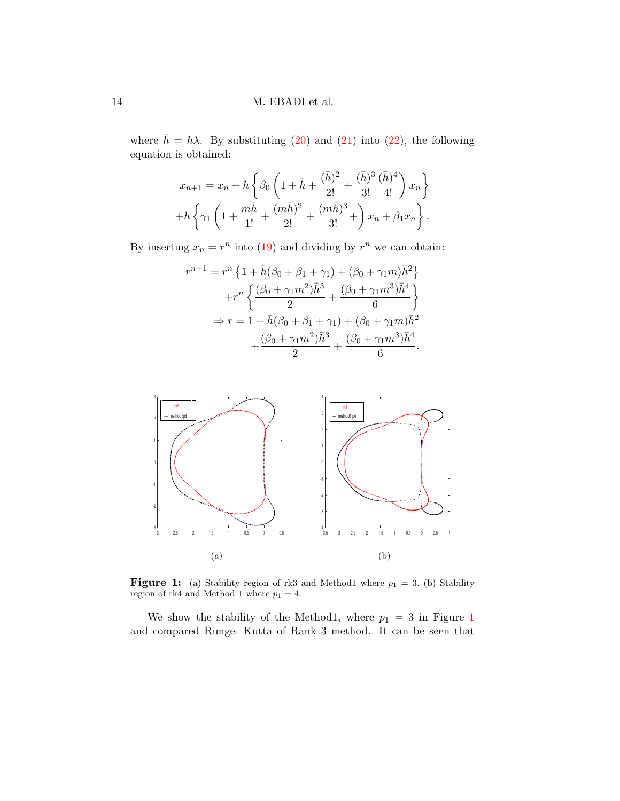where  $\bar{h} = h\lambda$ . By substituting [\(20\)](#page-12-4) and [\(21\)](#page-12-5) into [\(22\)](#page-12-6), the following equation is obtained:

$$
x_{n+1} = x_n + h \left\{ \beta_0 \left( 1 + \bar{h} + \frac{(\bar{h})^2}{2!} + \frac{(\bar{h})^3}{3!} \frac{(\bar{h})^4}{4!} \right) x_n \right\} + h \left\{ \gamma_1 \left( 1 + \frac{m\bar{h}}{1!} + \frac{(m\bar{h})^2}{2!} + \frac{(m\bar{h})^3}{3!} + \right) x_n + \beta_1 x_n \right\}.
$$

By inserting  $x_n = r^n$  into [\(19\)](#page-12-3) and dividing by  $r^n$  we can obtain:

$$
r^{n+1} = r^n \left\{ 1 + \bar{h}(\beta_0 + \beta_1 + \gamma_1) + (\beta_0 + \gamma_1 m)\bar{h}^2 \right\}
$$
  
+ 
$$
r^n \left\{ \frac{(\beta_0 + \gamma_1 m^2)\bar{h}^3}{2} + \frac{(\beta_0 + \gamma_1 m^3)\bar{h}^4}{6} \right\}
$$
  

$$
\Rightarrow r = 1 + \bar{h}(\beta_0 + \beta_1 + \gamma_1) + (\beta_0 + \gamma_1 m)\bar{h}^2
$$
  

$$
+ \frac{(\beta_0 + \gamma_1 m^2)\bar{h}^3}{2} + \frac{(\beta_0 + \gamma_1 m^3)\bar{h}^4}{6}.
$$

<span id="page-13-0"></span>

**Figure 1:** (a) Stability region of rk3 and Method1 where  $p_1 = 3$ . (b) Stability region of rk4 and Method 1 where  $p_1=4.$ 

We show the stability of the Method[1](#page-13-0), where  $p_1 = 3$  in Figure 1 and compared Runge- Kutta of Rank 3 method. It can be seen that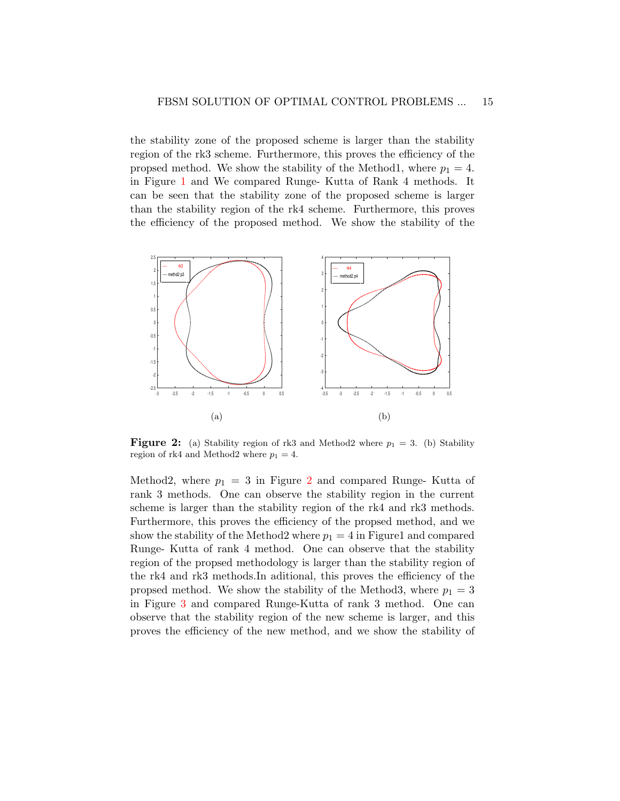the stability zone of the proposed scheme is larger than the stability region of the rk3 scheme. Furthermore, this proves the efficiency of the propsed method. We show the stability of the Method1, where  $p_1 = 4$ . in Figure [1](#page-13-0) and We compared Runge- Kutta of Rank 4 methods. It can be seen that the stability zone of the proposed scheme is larger than the stability region of the rk4 scheme. Furthermore, this proves the efficiency of the proposed method. We show the stability of the

<span id="page-14-0"></span>

**Figure 2:** (a) Stability region of rk3 and Method2 where  $p_1 = 3$ . (b) Stability region of rk4 and Method2 where  $p_1 = 4$ .

Method[2](#page-14-0), where  $p_1 = 3$  in Figure 2 and compared Runge- Kutta of rank 3 methods. One can observe the stability region in the current scheme is larger than the stability region of the rk4 and rk3 methods. Furthermore, this proves the efficiency of the propsed method, and we show the stability of the Method2 where  $p_1 = 4$  in Figure1 and compared Runge- Kutta of rank 4 method. One can observe that the stability region of the propsed methodology is larger than the stability region of the rk4 and rk3 methods.In aditional, this proves the efficiency of the propsed method. We show the stability of the Method3, where  $p_1 = 3$ in Figure [3](#page-15-1) and compared Runge-Kutta of rank 3 method. One can observe that the stability region of the new scheme is larger, and this proves the efficiency of the new method, and we show the stability of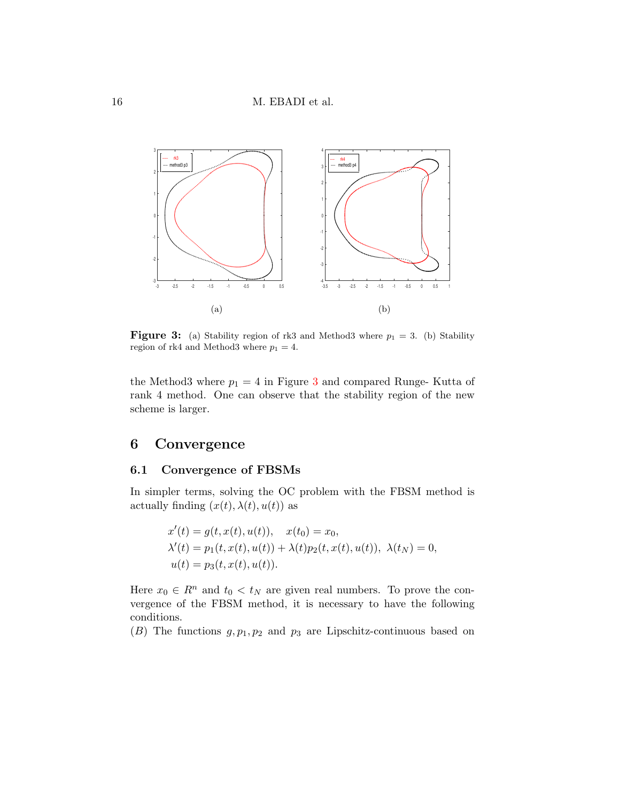<span id="page-15-1"></span>

**Figure 3:** (a) Stability region of rk3 and Method3 where  $p_1 = 3$ . (b) Stability region of rk4 and Method3 where  $p_1 = 4$ .

the Method[3](#page-15-1) where  $p_1 = 4$  in Figure 3 and compared Runge-Kutta of rank 4 method. One can observe that the stability region of the new scheme is larger.

## <span id="page-15-0"></span>6 Convergence

## 6.1 Convergence of FBSMs

In simpler terms, solving the OC problem with the FBSM method is actually finding  $(x(t), \lambda(t), u(t))$  as

$$
x'(t) = g(t, x(t), u(t)), \quad x(t_0) = x_0,
$$
  
\n
$$
\lambda'(t) = p_1(t, x(t), u(t)) + \lambda(t)p_2(t, x(t), u(t)), \quad \lambda(t_N) = 0,
$$
  
\n
$$
u(t) = p_3(t, x(t), u(t)).
$$

Here  $x_0 \in R^n$  and  $t_0 < t_N$  are given real numbers. To prove the convergence of the FBSM method, it is necessary to have the following conditions.

(B) The functions  $g, p_1, p_2$  and  $p_3$  are Lipschitz-continuous based on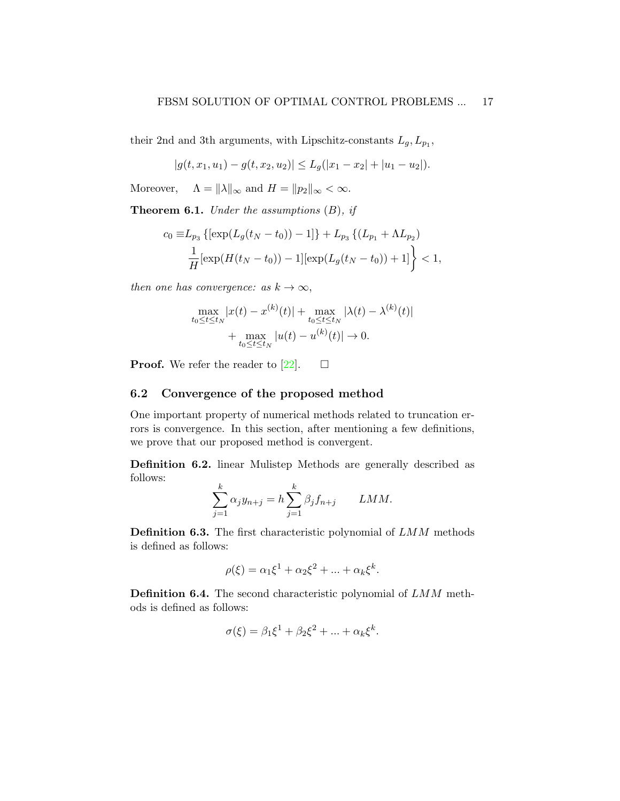their 2nd and 3th arguments, with Lipschitz-constants  $L_g, L_{p_1}$ ,

$$
|g(t, x_1, u_1) - g(t, x_2, u_2)| \leq L_g(|x_1 - x_2| + |u_1 - u_2|).
$$

Moreover,  $\Lambda = ||\lambda||_{\infty}$  and  $H = ||p_2||_{\infty} < \infty$ .

**Theorem 6.1.** Under the assumptions  $(B)$ , if

$$
c_0 \equiv L_{p_3} \left\{ \left[ \exp(L_g(t_N - t_0)) - 1 \right] \right\} + L_{p_3} \left\{ (L_{p_1} + \Lambda L_{p_2}) \right\}
$$
  

$$
\frac{1}{H} \left[ \exp(H(t_N - t_0)) - 1 \right] \left[ \exp(L_g(t_N - t_0)) + 1 \right] \right\} < 1,
$$

then one has convergence: as  $k \to \infty$ ,

$$
\max_{t_0 \le t \le t_N} |x(t) - x^{(k)}(t)| + \max_{t_0 \le t \le t_N} |\lambda(t) - \lambda^{(k)}(t)|
$$
  
+ 
$$
\max_{t_0 \le t \le t_N} |u(t) - u^{(k)}(t)| \to 0.
$$

**Proof.** We refer the reader to [\[22\]](#page-31-4).  $\Box$ 

## 6.2 Convergence of the proposed method

One important property of numerical methods related to truncation errors is convergence. In this section, after mentioning a few definitions, we prove that our proposed method is convergent.

Definition 6.2. linear Mulistep Methods are generally described as follows:

$$
\sum_{j=1}^{k} \alpha_j y_{n+j} = h \sum_{j=1}^{k} \beta_j f_{n+j} \qquad LMM.
$$

Definition 6.3. The first characteristic polynomial of LMM methods is defined as follows:

$$
\rho(\xi) = \alpha_1 \xi^1 + \alpha_2 \xi^2 + \dots + \alpha_k \xi^k.
$$

Definition 6.4. The second characteristic polynomial of LMM methods is defined as follows:

$$
\sigma(\xi) = \beta_1 \xi^1 + \beta_2 \xi^2 + \dots + \alpha_k \xi^k.
$$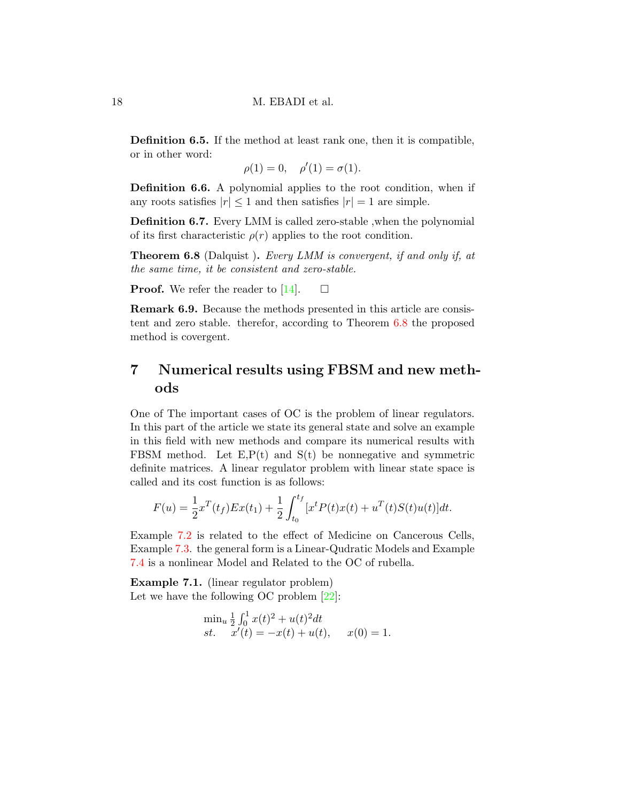Definition 6.5. If the method at least rank one, then it is compatible, or in other word:

 $\rho(1) = 0, \quad \rho'(1) = \sigma(1).$ 

Definition 6.6. A polynomial applies to the root condition, when if any roots satisfies  $|r| \leq 1$  and then satisfies  $|r| = 1$  are simple.

Definition 6.7. Every LMM is called zero-stable ,when the polynomial of its first characteristic  $\rho(r)$  applies to the root condition.

<span id="page-17-1"></span>Theorem 6.8 (Dalquist ). Every LMM is convergent, if and only if, at the same time, it be consistent and zero-stable.

**Proof.** We refer the reader to [\[14\]](#page-30-7).  $\Box$ 

Remark 6.9. Because the methods presented in this article are consistent and zero stable. therefor, according to Theorem [6.8](#page-17-1) the proposed method is covergent.

# <span id="page-17-0"></span>7 Numerical results using FBSM and new methods

One of The important cases of OC is the problem of linear regulators. In this part of the article we state its general state and solve an example in this field with new methods and compare its numerical results with FBSM method. Let  $E, P(t)$  and  $S(t)$  be nonnegative and symmetric definite matrices. A linear regulator problem with linear state space is called and its cost function is as follows:

$$
F(u) = \frac{1}{2}x^{T}(t_{f})Ex(t_{1}) + \frac{1}{2}\int_{t_{0}}^{t_{f}} [x^{t}P(t)x(t) + u^{T}(t)S(t)u(t)]dt.
$$

Example [7.2](#page-20-0) is related to the effect of Medicine on Cancerous Cells, Example [7.3.](#page-23-0) the general form is a Linear-Qudratic Models and Example [7.4](#page-26-0) is a nonlinear Model and Related to the OC of rubella.

<span id="page-17-2"></span>Example 7.1. (linear regulator problem) Let we have the following OC problem [\[22\]](#page-31-4):

$$
\min_{u} \frac{1}{2} \int_0^1 x(t)^2 + u(t)^2 dt
$$
  
\n
$$
st. \quad x'(t) = -x(t) + u(t), \quad x(0) = 1.
$$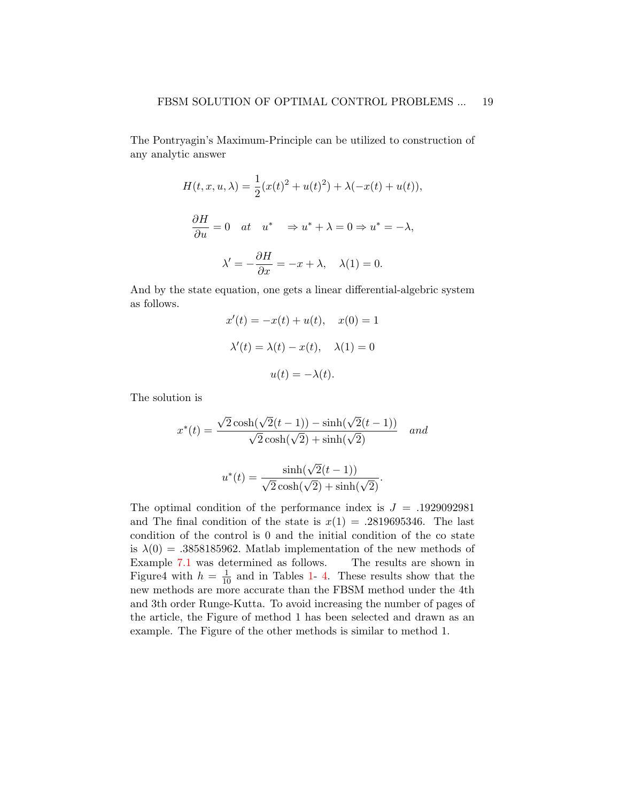The Pontryagin's Maximum-Principle can be utilized to construction of any analytic answer

$$
H(t, x, u, \lambda) = \frac{1}{2} (x(t)^2 + u(t)^2) + \lambda(-x(t) + u(t)),
$$
  

$$
\frac{\partial H}{\partial u} = 0 \quad at \quad u^* \quad \Rightarrow u^* + \lambda = 0 \Rightarrow u^* = -\lambda,
$$
  

$$
\lambda' = -\frac{\partial H}{\partial x} = -x + \lambda, \quad \lambda(1) = 0.
$$

And by the state equation, one gets a linear differential-algebric system as follows.

$$
x'(t) = -x(t) + u(t), \quad x(0) = 1
$$

$$
\lambda'(t) = \lambda(t) - x(t), \quad \lambda(1) = 0
$$

$$
u(t) = -\lambda(t).
$$

The solution is

$$
x^*(t) = \frac{\sqrt{2}\cosh(\sqrt{2}(t-1)) - \sinh(\sqrt{2}(t-1))}{\sqrt{2}\cosh(\sqrt{2}) + \sinh(\sqrt{2})}
$$
 and  

$$
u^*(t) = \frac{\sinh(\sqrt{2}(t-1))}{\sqrt{2}\cosh(\sqrt{2}) + \sinh(\sqrt{2})}.
$$

The optimal condition of the performance index is  $J = .1929092981$ and The final condition of the state is  $x(1) = .2819695346$ . The last condition of the control is 0 and the initial condition of the co state is  $\lambda(0) = .3858185962$ . Matlab implementation of the new methods of Example [7.1](#page-17-2) was determined as follows. The results are shown in Figure4 with  $h = \frac{1}{10}$  and in Tables [1-](#page-19-0)[4.](#page-20-1) These results show that the new methods are more accurate than the FBSM method under the 4th and 3th order Runge-Kutta. To avoid increasing the number of pages of the article, the Figure of method 1 has been selected and drawn as an example. The Figure of the other methods is similar to method 1.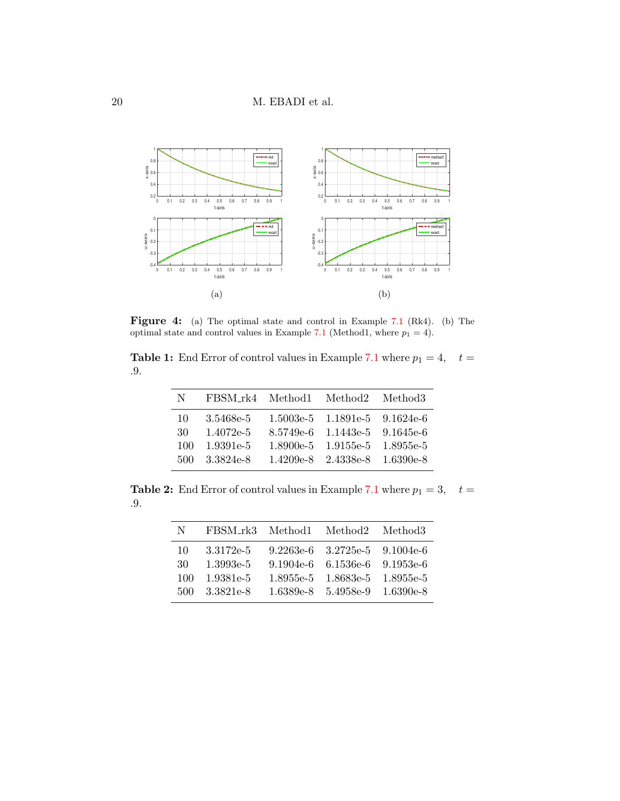

Figure 4: (a) The optimal state and control in Example [7.1](#page-17-2) (Rk4). (b) The optimal state and control values in Example [7.1](#page-17-2) (Method1, where  $p_1 = 4$ ).

<span id="page-19-0"></span>**Table 1:** End Error of control values in Example [7.1](#page-17-2) where  $p_1 = 4$ ,  $t =$ .9.

| N    | FBSM_rk4 Method1 Method2 Method3 |                                     |  |
|------|----------------------------------|-------------------------------------|--|
| 10   | 3.5468e-5                        | $1.5003e-5$ $1.1891e-5$ $9.1624e-6$ |  |
| 30   | $1.4072e-5$                      | 8.5749e-6 1.1443e-5 9.1645e-6       |  |
| 100  | $1.9391e-5$                      | 1.8900e-5 1.9155e-5 1.8955e-5       |  |
| 500- | 3.3824e-8                        | 1.4209e-8 2.4338e-8 1.6390e-8       |  |

**Table 2:** End Error of control values in Example [7.1](#page-17-2) where  $p_1 = 3$ ,  $t =$ .9.

| N           | FBSM_rk3 Method1 Method2 Method3 |                                                                      |  |
|-------------|----------------------------------|----------------------------------------------------------------------|--|
| 10.         | 3.3172e-5                        | $9.2263e-6$ $3.2725e-5$ $9.1004e-6$                                  |  |
| 30-<br>100. | 1.3993e-5<br>1.9381e-5           | $9.1904e-6$ $6.1536e-6$ $9.1953e-6$<br>1.8955e-5 1.8683e-5 1.8955e-5 |  |
|             | 500 3.3821e-8                    | 1.6389e-8 5.4958e-9 1.6390e-8                                        |  |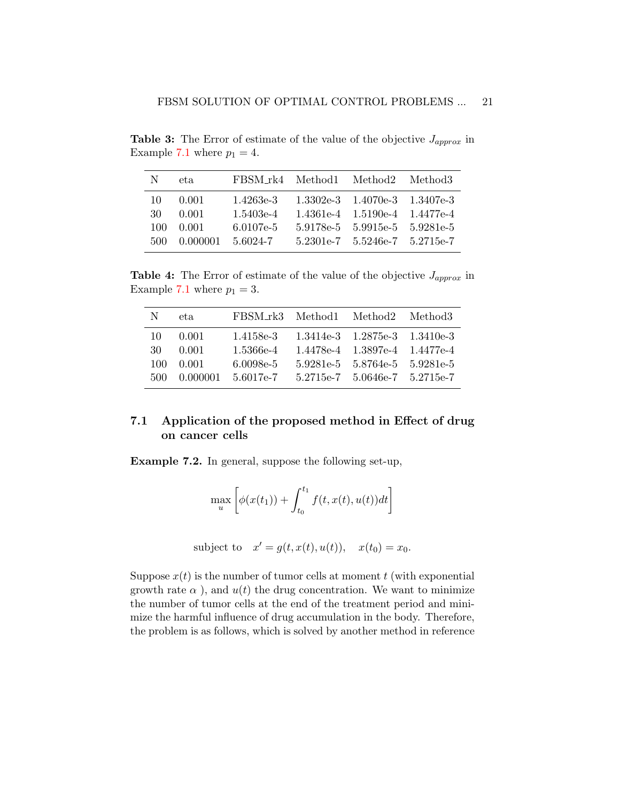**Table 3:** The Error of estimate of the value of the objective  $J_{approx}$  in Example [7.1](#page-17-2) where  $p_1 = 4$ .

| N    | et a       | FBSM_rk4 Method1 Method2 Method3 |                                     |  |
|------|------------|----------------------------------|-------------------------------------|--|
| 10.  | - 0.001    | 1.4263e-3                        | $1.3302e-3$ $1.4070e-3$ $1.3407e-3$ |  |
| 30   | 0.001      | 1.5403e-4                        | 1.4361e-4 1.5190e-4 1.4477e-4       |  |
| 100. | 0.001      | $6.0107e-5$                      | 5.9178e-5 5.9915e-5 5.9281e-5       |  |
| 500- | - 0.000001 | 5.6024-7                         | $5.2301e-7$ $5.5246e-7$ $5.2715e-7$ |  |

<span id="page-20-1"></span>**Table 4:** The Error of estimate of the value of the objective  $J_{approx}$  in Example [7.1](#page-17-2) where  $p_1 = 3$ .

| N    | et a     | FBSM_rk3 Method1 Method2 Method3 |                                     |  |
|------|----------|----------------------------------|-------------------------------------|--|
| 10.  | - 0.001  | 1.4158e-3                        | $1.3414e-3$ $1.2875e-3$ $1.3410e-3$ |  |
| 30-  | 0.001    | 1.5366e-4                        | 1.4478e-4 1.3897e-4 1.4477e-4       |  |
| 100. | 0.001    | $6.0098e-5$                      | 5.9281e-5 5.8764e-5 5.9281e-5       |  |
| 500- | 0.000001 | 5.6017e-7                        | $5.2715e-7$ $5.0646e-7$ $5.2715e-7$ |  |

## 7.1 Application of the proposed method in Effect of drug on cancer cells

<span id="page-20-0"></span>Example 7.2. In general, suppose the following set-up,

$$
\max_{u} \left[ \phi(x(t_1)) + \int_{t_0}^{t_1} f(t, x(t), u(t)) dt \right]
$$

subject to  $x' = g(t, x(t), u(t)), \quad x(t_0) = x_0.$ 

Suppose  $x(t)$  is the number of tumor cells at moment t (with exponential growth rate  $\alpha$ ), and  $u(t)$  the drug concentration. We want to minimize the number of tumor cells at the end of the treatment period and minimize the harmful influence of drug accumulation in the body. Therefore, the problem is as follows, which is solved by another method in reference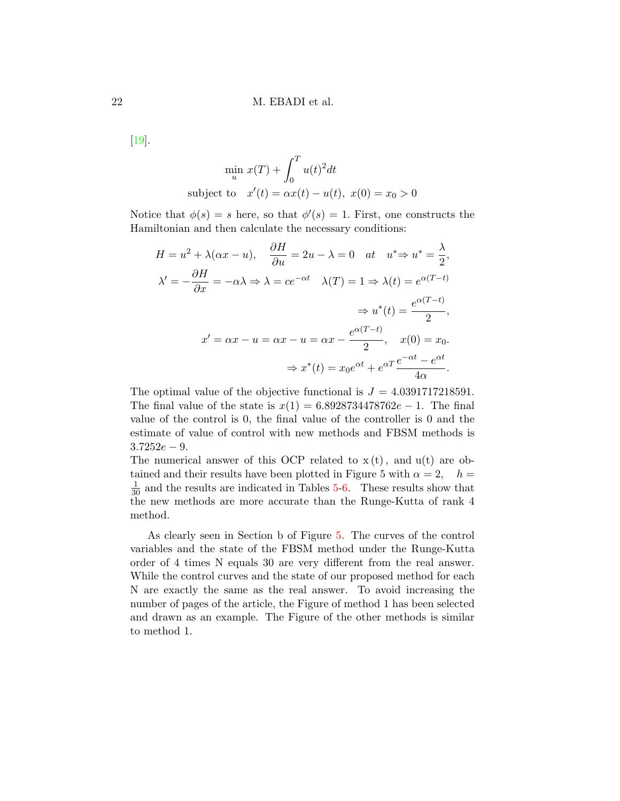[\[19\]](#page-31-3).

$$
\min_{u} x(T) + \int_{0}^{T} u(t)^{2} dt
$$
\nsubject to 
$$
x'(t) = \alpha x(t) - u(t), \ x(0) = x_{0} > 0
$$

Notice that  $\phi(s) = s$  here, so that  $\phi'(s) = 1$ . First, one constructs the Hamiltonian and then calculate the necessary conditions:

$$
H = u^{2} + \lambda(\alpha x - u), \quad \frac{\partial H}{\partial u} = 2u - \lambda = 0 \quad at \quad u^{*} \Rightarrow u^{*} = \frac{\lambda}{2},
$$
  

$$
\lambda' = -\frac{\partial H}{\partial x} = -\alpha \lambda \Rightarrow \lambda = ce^{-\alpha t} \quad \lambda(T) = 1 \Rightarrow \lambda(t) = e^{\alpha(T-t)}
$$

$$
\Rightarrow u^{*}(t) = \frac{e^{\alpha(T-t)}}{2},
$$
  

$$
x' = \alpha x - u = \alpha x - u = \alpha x - \frac{e^{\alpha(T-t)}}{2}, \quad x(0) = x_{0}.
$$

$$
\Rightarrow x^{*}(t) = x_{0}e^{\alpha t} + e^{\alpha T} \frac{e^{-\alpha t} - e^{\alpha t}}{4\alpha}.
$$

The optimal value of the objective functional is  $J = 4.0391717218591$ . The final value of the state is  $x(1) = 6.8928734478762e - 1$ . The final value of the control is 0, the final value of the controller is 0 and the estimate of value of control with new methods and FBSM methods is  $3.7252e - 9.$ 

The numerical answer of this OCP related to  $x(t)$ , and  $u(t)$  are obtained and their results have been plotted in Figure 5 with  $\alpha = 2$ ,  $h =$  $\frac{1}{30}$  and the results are indicated in Tables [5](#page-22-0)[-6.](#page-22-1) These results show that the new methods are more accurate than the Runge-Kutta of rank 4 method.

As clearly seen in Section b of Figure [5.](#page-22-2) The curves of the control variables and the state of the FBSM method under the Runge-Kutta order of 4 times N equals 30 are very different from the real answer. While the control curves and the state of our proposed method for each N are exactly the same as the real answer. To avoid increasing the number of pages of the article, the Figure of method 1 has been selected and drawn as an example. The Figure of the other methods is similar to method 1.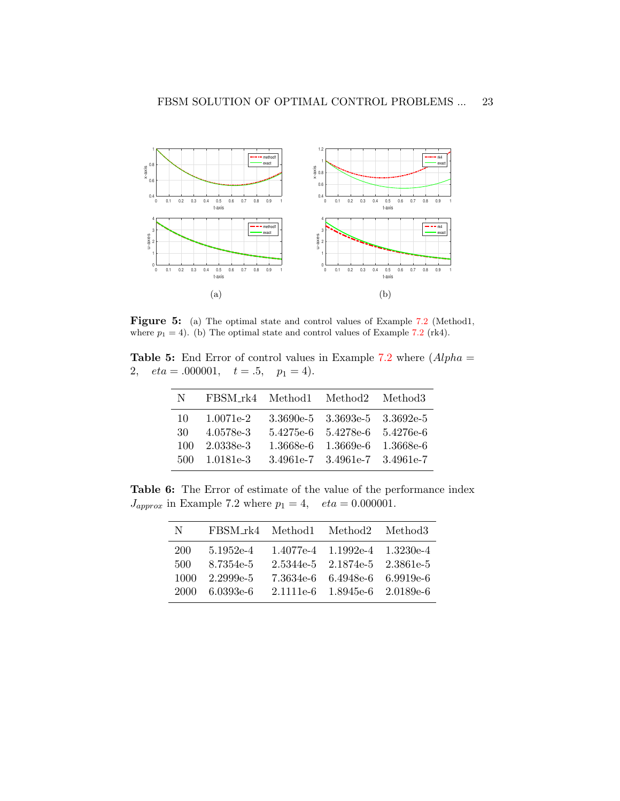<span id="page-22-2"></span>

Figure 5: (a) The optimal state and control values of Example [7.2](#page-20-0) (Method1, where  $p_1 = 4$ ). (b) The optimal state and control values of Example [7.2](#page-20-0) (rk4).

<span id="page-22-0"></span>**Table 5:** End Error of control values in Example [7.2](#page-20-0) where  $(Alpha =$ 2,  $eta = .000001$ ,  $t = .5$ ,  $p_1 = 4$ ).

| N    | FBSM_rk4 Method1 Method2 Method3 |                               |  |
|------|----------------------------------|-------------------------------|--|
| 10   | 1.0071e-2                        | 3.3690e-5 3.3693e-5 3.3692e-5 |  |
| 30   | 4.0578e-3                        | 5.4275e-6 5.4278e-6 5.4276e-6 |  |
| 100  | 2.0338e-3                        | 1.3668e-6 1.3669e-6 1.3668e-6 |  |
| 500. | 1.0181e-3                        | 3.4961e-7 3.4961e-7 3.4961e-7 |  |
|      |                                  |                               |  |

<span id="page-22-1"></span>Table 6: The Error of estimate of the value of the performance index  $J_{approx}$  in Example 7.2 where  $p_1 = 4$ ,  $eta = 0.000001$ .

| N    | FBSM_rk4 Method1 Method2 Method3 |                               |  |
|------|----------------------------------|-------------------------------|--|
| 200  | 5.1952e-4                        | 1.4077e-4 1.1992e-4 1.3230e-4 |  |
| 500  | 8.7354e-5                        | 2.5344e-5 2.1874e-5 2.3861e-5 |  |
| 1000 | $2.2999e-5$                      | 7.3634e-6 6.4948e-6 6.9919e-6 |  |
|      | 2000 6.0393e-6                   | 2.1111e-6 1.8945e-6 2.0189e-6 |  |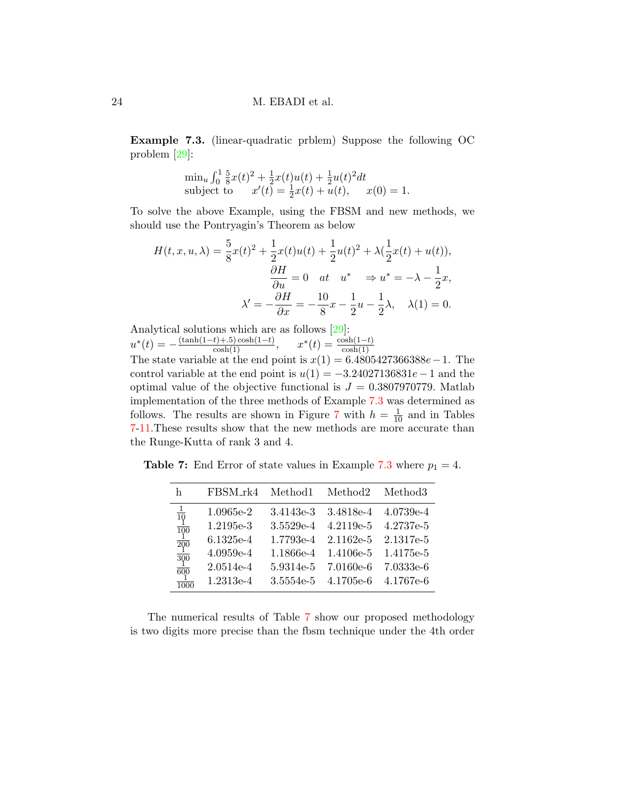<span id="page-23-0"></span>Example 7.3. (linear-quadratic prblem) Suppose the following OC problem [\[29\]](#page-32-6):

$$
\min_{u} \int_{0}^{1} \frac{5}{8}x(t)^{2} + \frac{1}{2}x(t)u(t) + \frac{1}{2}u(t)^{2}dt
$$
\nsubject to 
$$
x'(t) = \frac{1}{2}x(t) + u(t), \quad x(0) = 1.
$$

To solve the above Example, using the FBSM and new methods, we should use the Pontryagin's Theorem as below

$$
H(t, x, u, \lambda) = \frac{5}{8}x(t)^{2} + \frac{1}{2}x(t)u(t) + \frac{1}{2}u(t)^{2} + \lambda(\frac{1}{2}x(t) + u(t)),
$$
  

$$
\frac{\partial H}{\partial u} = 0 \quad at \quad u^{*} \quad \Rightarrow u^{*} = -\lambda - \frac{1}{2}x,
$$
  

$$
\lambda' = -\frac{\partial H}{\partial x} = -\frac{10}{8}x - \frac{1}{2}u - \frac{1}{2}\lambda, \quad \lambda(1) = 0.
$$

Analytical solutions which are as follows [\[29\]](#page-32-6):  $u^*(t) = -\frac{(\tanh(1-t)+0.5)\cosh(1-t)}{\cosh(1)}, \quad x^*(t) = \frac{\cosh(1-t)}{\cosh(1)}$ 

The state variable at the end point is  $x(1) = 6.4805427366388e - 1$ . The control variable at the end point is  $u(1) = -3.24027136831e - 1$  and the optimal value of the objective functional is  $J = 0.3807970779$ . Matlab implementation of the three methods of Example [7.3](#page-23-0) was determined as follows. The results are shown in Figure [7](#page-28-0) with  $h = \frac{1}{10}$  and in Tables [7-](#page-23-1)[11.](#page-25-0)These results show that the new methods are more accurate than the Runge-Kutta of rank 3 and 4.

<span id="page-23-1"></span>**Table 7:** End Error of state values in Example [7.3](#page-23-0) where  $p_1 = 4$ .

| h                                               | FBSM_rk4    | Method1   | Method <sub>2</sub> | Method <sub>3</sub> |
|-------------------------------------------------|-------------|-----------|---------------------|---------------------|
| $\frac{1}{10}$ $\frac{1}{100}$                  | 1.0965e-2   | 3.4143e-3 | 3.4818e-4           | 4.0739e-4           |
|                                                 | 1.2195e-3   | 3.5529e-4 | $4.2119e-5$         | 4.2737e-5           |
|                                                 | 6.1325e-4   | 1.7793e-4 | $2.1162e-5$         | 2.1317e-5           |
| $rac{1}{200}$<br>$rac{1}{300}$<br>$rac{1}{600}$ | $4.0959e-4$ | 1.1866e-4 | 1.4106e-5           | 1.4175e-5           |
|                                                 | $2.0514e-4$ | 5.9314e-5 | 7.0160e-6           | 7.0333e-6           |
| 1000                                            | 1.2313e-4   | 3.5554e-5 | 4.1705e-6           | 4.1767e-6           |
|                                                 |             |           |                     |                     |

The numerical results of Table [7](#page-23-1) show our proposed methodology is two digits more precise than the fbsm technique under the 4th order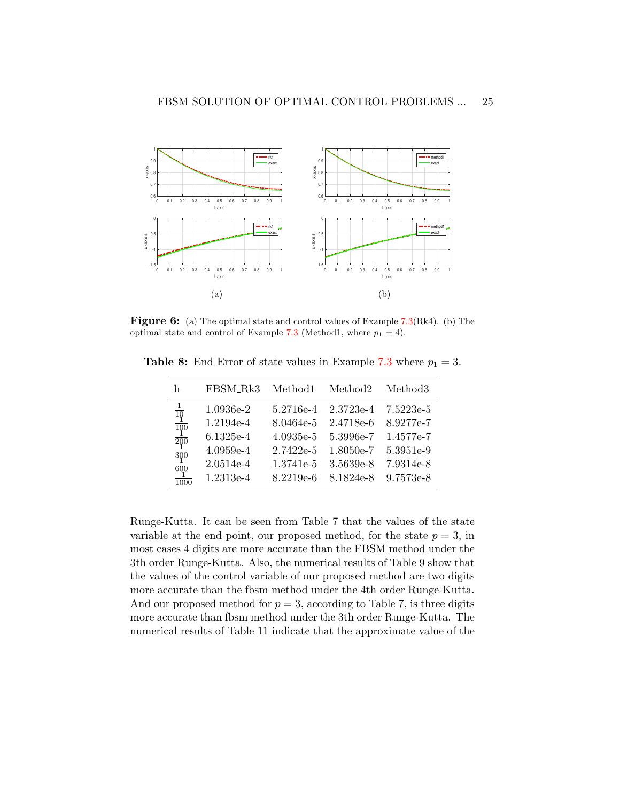

Figure 6: (a) The optimal state and control values of Example [7.3\(](#page-23-0)Rk4). (b) The optimal state and control of Example [7.3](#page-23-0) (Method1, where  $p_1 = 4$ ).

| h                                               | FBSM_Rk3    | Method1     | Method <sub>2</sub> | Method <sub>3</sub> |
|-------------------------------------------------|-------------|-------------|---------------------|---------------------|
| $rac{1}{10}$                                    | 1.0936e-2   | 5.2716e-4   | $2.3723e-4$         | 7.5223e-5           |
| $\overline{100}$                                | 1.2194e-4   | 8.0464e-5   | 2.4718e-6           | 8.9277e-7           |
|                                                 | $6.1325e-4$ | $4.0935e-5$ | 5.3996e-7           | 1.4577e-7           |
|                                                 | $4.0959e-4$ | 2.7422e-5   | 1.8050e-7           | 5.3951e-9           |
| $\frac{1}{200}$ $\frac{1}{300}$ $\frac{1}{600}$ | 2.0514e-4   | 1.3741e-5   | 3.5639e-8           | 7.9314e-8           |
| $\frac{1}{1000}$                                | 1.2313e-4   | 8.2219e-6   | 8.1824e-8           | 9.7573e-8           |

**Table 8:** End Error of state values in Example [7.3](#page-23-0) where  $p_1 = 3$ .

Runge-Kutta. It can be seen from Table 7 that the values of the state variable at the end point, our proposed method, for the state  $p = 3$ , in most cases 4 digits are more accurate than the FBSM method under the 3th order Runge-Kutta. Also, the numerical results of Table 9 show that the values of the control variable of our proposed method are two digits more accurate than the fbsm method under the 4th order Runge-Kutta. And our proposed method for  $p = 3$ , according to Table 7, is three digits more accurate than fbsm method under the 3th order Runge-Kutta. The numerical results of Table 11 indicate that the approximate value of the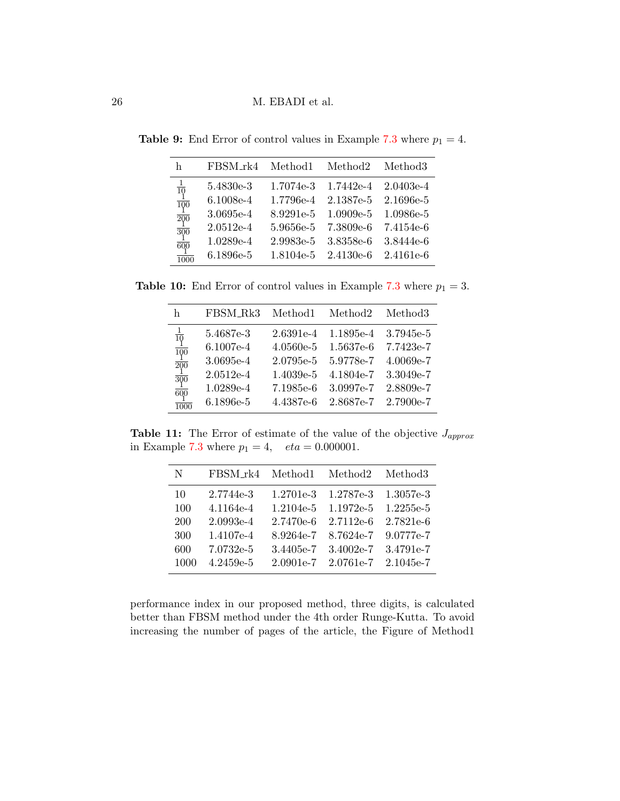| h                                                                              | FBSM_rk4    | Method1   | Method <sub>2</sub> | Method <sub>3</sub>     |
|--------------------------------------------------------------------------------|-------------|-----------|---------------------|-------------------------|
|                                                                                | 5.4830e-3   | 1.7074e-3 |                     | $1.7442e-4$ $2.0403e-4$ |
| $\frac{1}{10}$ $\frac{1}{100}$ $\frac{1}{200}$ $\frac{1}{300}$ $\frac{1}{600}$ | 6.1008e-4   | 1.7796e-4 | 2.1387e-5           | 2.1696e-5               |
|                                                                                | 3.0695e-4   | 8.9291e-5 | $1.0909e-5$         | 1.0986e-5               |
|                                                                                | $2.0512e-4$ | 5.9656e-5 | 7.3809e-6           | 7.4154e-6               |
|                                                                                | 1.0289e-4   | 2.9983e-5 | 3.8358e-6           | 3.8444e-6               |
| $\frac{1}{1000}$                                                               | 6.1896e-5   | 1.8104e-5 | $2.4130e-6$         | 2.4161e-6               |

**Table 9:** End Error of control values in Example [7.3](#page-23-0) where  $p_1 = 4$ .

**Table 10:** End Error of control values in Example [7.3](#page-23-0) where  $p_1 = 3$ .

| h                                                                                                                                  | FBSM_Rk3    | Method1     | Method <sub>2</sub> | Method <sub>3</sub> |
|------------------------------------------------------------------------------------------------------------------------------------|-------------|-------------|---------------------|---------------------|
|                                                                                                                                    | 5.4687e-3   | 2.6391e-4   | 1.1895e-4           | 3.7945e-5           |
|                                                                                                                                    | $6.1007e-4$ | $4.0560e-5$ | 1.5637e-6           | 7.7423e-7           |
|                                                                                                                                    | 3.0695e-4   | 2.0795e-5   | 5.9778e-7           | $4.0069e-7$         |
|                                                                                                                                    | $2.0512e-4$ | 1.4039e-5   | 4.1804e-7           | 3.3049e-7           |
| $\begin{array}{r} \frac{10}{10} \\ \frac{1}{100} \\ \frac{1}{200} \\ \frac{1}{300} \\ \frac{1}{600} \\ \frac{1}{1000} \end{array}$ | 1.0289e-4   | 7.1985e-6   | 3.0997e-7           | 2.8809e-7           |
|                                                                                                                                    | 6.1896e-5   | 4.4387e-6   | 2.8687e-7           | $2.7900e-7$         |

<span id="page-25-0"></span>Table 11: The Error of estimate of the value of the objective  $J_{approx}$ in Example [7.3](#page-23-0) where  $p_1 = 4$ ,  $eta = 0.000001$ .

| N    | FBSM_rk4    | Method <sub>1</sub> | Method <sub>2</sub> | Method <sub>3</sub> |
|------|-------------|---------------------|---------------------|---------------------|
| 10   | 2.7744e-3   | 1.2701e-3           | 1.2787e-3           | 1.3057e-3           |
| 100  | 4.1164e-4   | 1.2104e-5           | 1.1972e-5           | $1.2255e-5$         |
| 200  | $2.0993e-4$ | $2.7470e-6$         | $2.7112e-6$         | 2.7821e-6           |
| 300  | 1.4107e-4   | 8.9264e-7           | 8.7624e-7           | 9.0777e-7           |
| 600  | 7.0732e-5   | 3.4405e-7           | 3.4002e-7           | 3.4791e-7           |
| 1000 | $4.2459e-5$ | $2.0901e-7$         | 2.0761e-7           | 2.1045e-7           |
|      |             |                     |                     |                     |

performance index in our proposed method, three digits, is calculated better than FBSM method under the 4th order Runge-Kutta. To avoid increasing the number of pages of the article, the Figure of Method1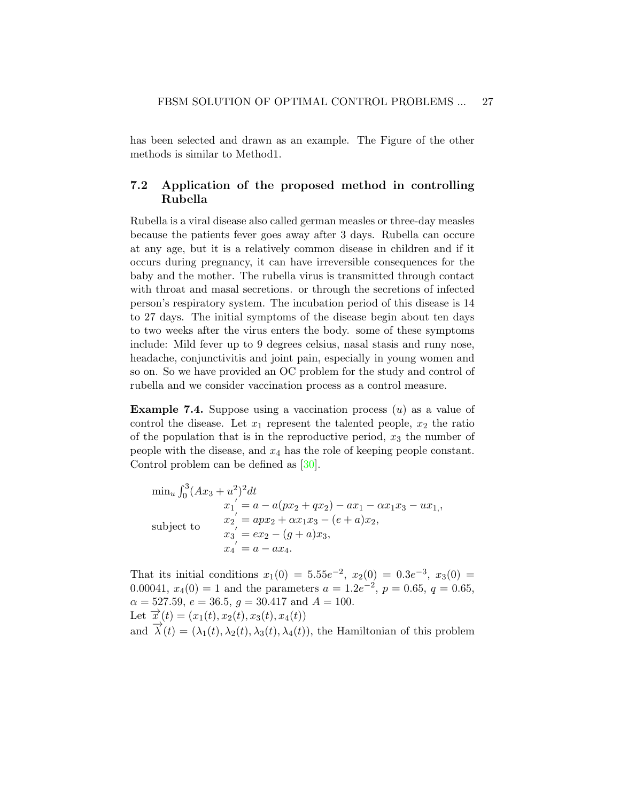has been selected and drawn as an example. The Figure of the other methods is similar to Method1.

## 7.2 Application of the proposed method in controlling Rubella

Rubella is a viral disease also called german measles or three-day measles because the patients fever goes away after 3 days. Rubella can occure at any age, but it is a relatively common disease in children and if it occurs during pregnancy, it can have irreversible consequences for the baby and the mother. The rubella virus is transmitted through contact with throat and masal secretions. or through the secretions of infected person's respiratory system. The incubation period of this disease is 14 to 27 days. The initial symptoms of the disease begin about ten days to two weeks after the virus enters the body. some of these symptoms include: Mild fever up to 9 degrees celsius, nasal stasis and runy nose, headache, conjunctivitis and joint pain, especially in young women and so on. So we have provided an OC problem for the study and control of rubella and we consider vaccination process as a control measure.

<span id="page-26-0"></span>**Example 7.4.** Suppose using a vaccination process  $(u)$  as a value of control the disease. Let  $x_1$  represent the talented people,  $x_2$  the ratio of the population that is in the reproductive period,  $x_3$  the number of people with the disease, and  $x_4$  has the role of keeping people constant. Control problem can be defined as [\[30\]](#page-32-7).

$$
\min_{u} \int_{0}^{3} (Ax_{3} + u^{2})^{2} dt
$$
  
\n
$$
x_{1}^{'} = a - a(px_{2} + qx_{2}) - ax_{1} - \alpha x_{1}x_{3} - ux_{1,},
$$
  
\n
$$
x_{2}^{'} = apx_{2} + \alpha x_{1}x_{3} - (e + a)x_{2},
$$
  
\n
$$
x_{3}^{'} = ex_{2} - (g + a)x_{3},
$$
  
\n
$$
x_{4}^{'} = a - ax_{4}.
$$

That its initial conditions  $x_1(0) = 5.55e^{-2}$ ,  $x_2(0) = 0.3e^{-3}$ ,  $x_3(0) =$ 0.00041,  $x_4(0) = 1$  and the parameters  $a = 1.2e^{-2}$ ,  $p = 0.65$ ,  $q = 0.65$ ,  $\alpha = 527.59, e = 36.5, g = 30.417 \text{ and } A = 100.$ Let  $\vec{x}(t) = (x_1(t), x_2(t), x_3(t), x_4(t))$ and  $\vec{\lambda}(t) = (\lambda_1(t), \lambda_2(t), \lambda_3(t), \lambda_4(t))$ , the Hamiltonian of this problem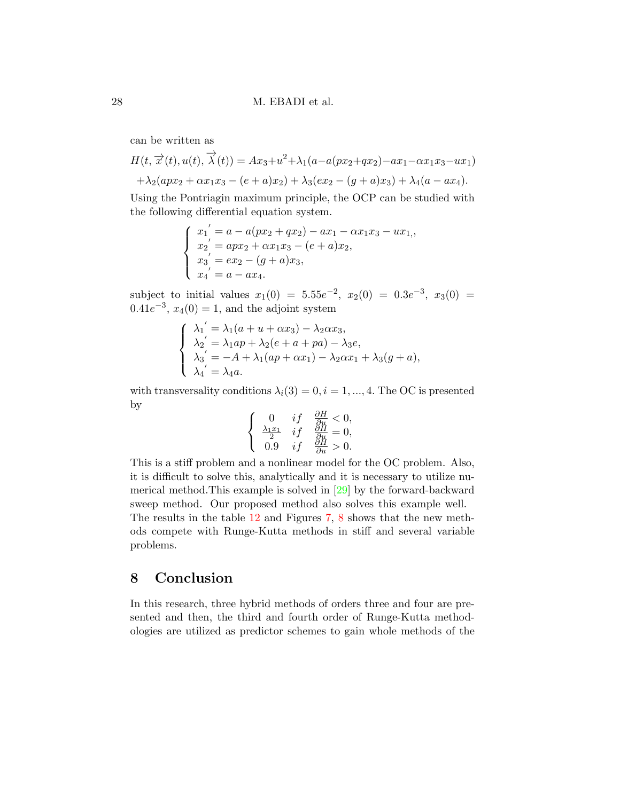can be written as

$$
H(t, \overrightarrow{x}(t), u(t), \overrightarrow{\lambda}(t)) = Ax_3 + u^2 + \lambda_1(a - a(px_2 + qx_2) - ax_1 - \alpha x_1 x_3 - ux_1) + \lambda_2(apx_2 + \alpha x_1 x_3 - (e + a)x_2) + \lambda_3(ex_2 - (g + a)x_3) + \lambda_4(a - ax_4).
$$

Using the Pontriagin maximum principle, the OCP can be studied with the following differential equation system.

$$
\begin{cases}\nx_1' = a - a(px_2 + qx_2) - ax_1 - \alpha x_1x_3 - ux_1, \nx_2' = apx_2 + \alpha x_1x_3 - (e+a)x_2, \nx_3' = ex_2 - (g+a)x_3, \nx_4' = a - ax_4.\n\end{cases}
$$

subject to initial values  $x_1(0) = 5.55e^{-2}$ ,  $x_2(0) = 0.3e^{-3}$ ,  $x_3(0) =$  $0.41e^{-3}$ ,  $x_4(0) = 1$ , and the adjoint system

$$
\begin{cases}\n\lambda_1' = \lambda_1(a + u + \alpha x_3) - \lambda_2 \alpha x_3, \\
\lambda_2' = \lambda_1 a p + \lambda_2 (e + a + p a) - \lambda_3 e, \\
\lambda_3' = -A + \lambda_1(a p + \alpha x_1) - \lambda_2 \alpha x_1 + \lambda_3 (g + a), \\
\lambda_4' = \lambda_4 a.\n\end{cases}
$$

with transversality conditions  $\lambda_i(3) = 0, i = 1, ..., 4$ . The OC is presented by

$$
\begin{cases}\n0 & if \quad \frac{\partial H}{\partial u} < 0, \\
\frac{\lambda_1 x_1}{2} & if \quad \frac{\partial H}{\partial u} = 0, \\
0.9 & if \quad \frac{\partial H}{\partial u} > 0.\n\end{cases}
$$

This is a stiff problem and a nonlinear model for the OC problem. Also, it is difficult to solve this, analytically and it is necessary to utilize numerical method.This example is solved in [\[29\]](#page-32-6) by the forward-backward sweep method. Our proposed method also solves this example well. The results in the table [12](#page-28-1) and Figures [7,](#page-28-0) [8](#page-28-2) shows that the new methods compete with Runge-Kutta methods in stiff and several variable problems.

## <span id="page-27-0"></span>8 Conclusion

In this research, three hybrid methods of orders three and four are presented and then, the third and fourth order of Runge-Kutta methodologies are utilized as predictor schemes to gain whole methods of the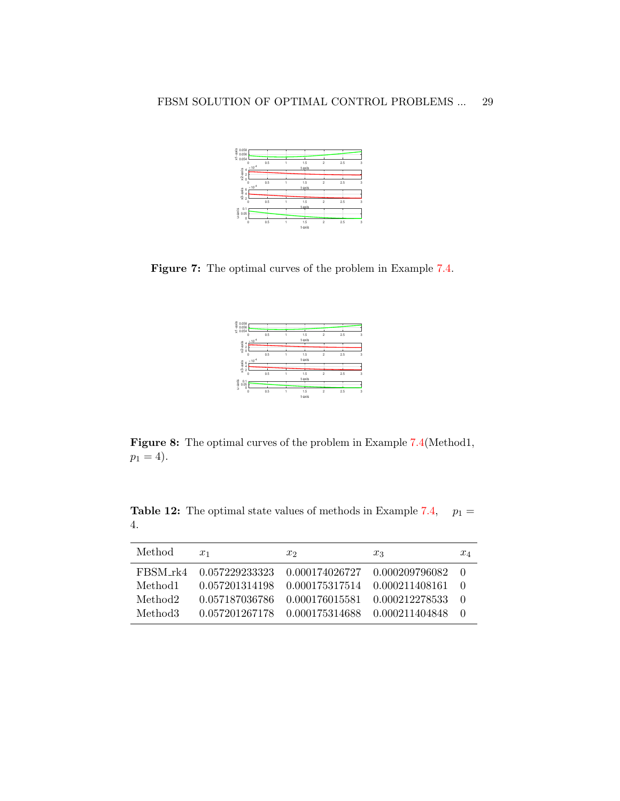<span id="page-28-0"></span>

<span id="page-28-2"></span>Figure 7: The optimal curves of the problem in Example [7.4.](#page-26-0)

| $\frac{10}{6}$ 0.058<br>$\frac{1}{6}$ 0.056<br>$\frac{1}{6}$ 0.054 |     |        |                |     |   |
|--------------------------------------------------------------------|-----|--------|----------------|-----|---|
|                                                                    |     |        |                |     |   |
| $\circ$                                                            | 0.5 | 1.5    | $\overline{c}$ | 2.5 | 3 |
| $\times 10^{-4}$                                                   |     | t-axis |                |     |   |
| 4<br>$\overline{c}$                                                |     |        |                |     |   |
| $x2$ -axis<br>$\theta$                                             |     |        |                |     |   |
| $\circ$                                                            | 0.5 | 1.5    | 2              | 2.5 | 3 |
| $\times 10^{-4}$                                                   |     | t-axis |                |     |   |
| $x3 - ax$ is<br>642                                                |     |        |                |     |   |
|                                                                    |     |        |                |     |   |
| $\circ$                                                            | 0.5 | 1.5    | $\mathfrak{p}$ | 2.5 | 3 |
|                                                                    |     | t-axis |                |     |   |
| u-axis<br>$0.1$<br>$0.05$                                          |     |        |                |     |   |
| ō<br>$\circ$                                                       | 0.5 | 1.5    | $\overline{c}$ | 2.5 | 3 |
|                                                                    |     | t-axis |                |     |   |

Figure 8: The optimal curves of the problem in Example [7.4\(](#page-26-0)Method1,  $p_1 = 4$ .

<span id="page-28-1"></span>**Table 12:** The optimal state values of methods in Example [7.4,](#page-26-0)  $p_1 =$ 4.

| Method  | $x_1$          | $x_2$                                            | $x_3$                                                   | $x_4$  |
|---------|----------------|--------------------------------------------------|---------------------------------------------------------|--------|
|         |                |                                                  | FBSM_rk4 0.057229233323 0.000174026727 0.000209796082 0 |        |
| Method1 |                | 0.057201314198   0.000175317514   0.000211408161 |                                                         | - ()   |
| Method2 | 0.057187036786 |                                                  | 0.000176015581   0.000212278533                         | $\Box$ |
| Method3 |                | 0.057201267178   0.000175314688   0.000211404848 |                                                         | - 0    |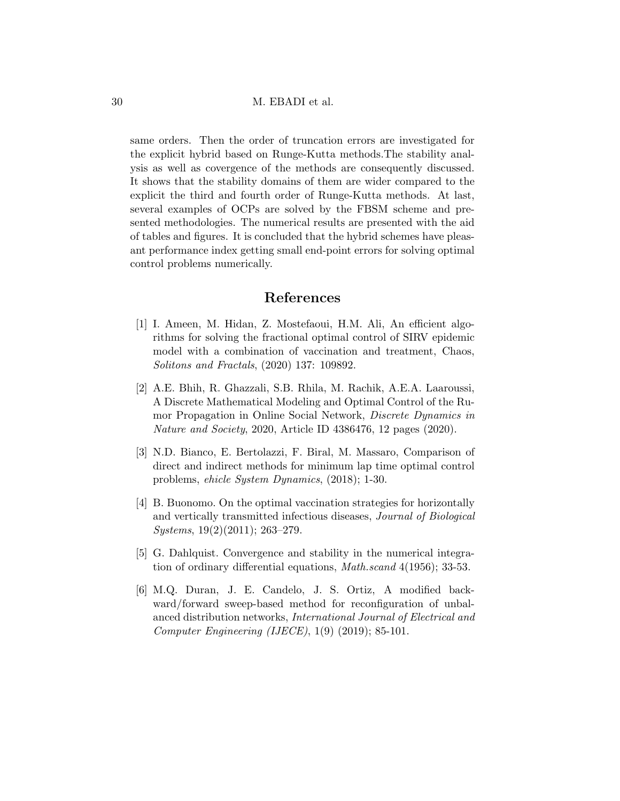same orders. Then the order of truncation errors are investigated for the explicit hybrid based on Runge-Kutta methods.The stability analysis as well as covergence of the methods are consequently discussed. It shows that the stability domains of them are wider compared to the explicit the third and fourth order of Runge-Kutta methods. At last, several examples of OCPs are solved by the FBSM scheme and presented methodologies. The numerical results are presented with the aid of tables and figures. It is concluded that the hybrid schemes have pleasant performance index getting small end-point errors for solving optimal control problems numerically.

## References

- <span id="page-29-2"></span>[1] I. Ameen, M. Hidan, Z. Mostefaoui, H.M. Ali, An efficient algorithms for solving the fractional optimal control of SIRV epidemic model with a combination of vaccination and treatment, Chaos, Solitons and Fractals, (2020) 137: 109892.
- <span id="page-29-3"></span>[2] A.E. Bhih, R. Ghazzali, S.B. Rhila, M. Rachik, A.E.A. Laaroussi, A Discrete Mathematical Modeling and Optimal Control of the Rumor Propagation in Online Social Network, Discrete Dynamics in Nature and Society, 2020, Article ID 4386476, 12 pages (2020).
- <span id="page-29-0"></span>[3] N.D. Bianco, E. Bertolazzi, F. Biral, M. Massaro, Comparison of direct and indirect methods for minimum lap time optimal control problems, ehicle System Dynamics, (2018); 1-30.
- [4] B. Buonomo. On the optimal vaccination strategies for horizontally and vertically transmitted infectious diseases, Journal of Biological Systems, 19(2)(2011); 263–279.
- [5] G. Dahlquist. Convergence and stability in the numerical integration of ordinary differential equations, Math.scand 4(1956); 33-53.
- <span id="page-29-1"></span>[6] M.Q. Duran, J. E. Candelo, J. S. Ortiz, A modified backward/forward sweep-based method for reconfiguration of unbalanced distribution networks, International Journal of Electrical and Computer Engineering (IJECE), 1(9) (2019); 85-101.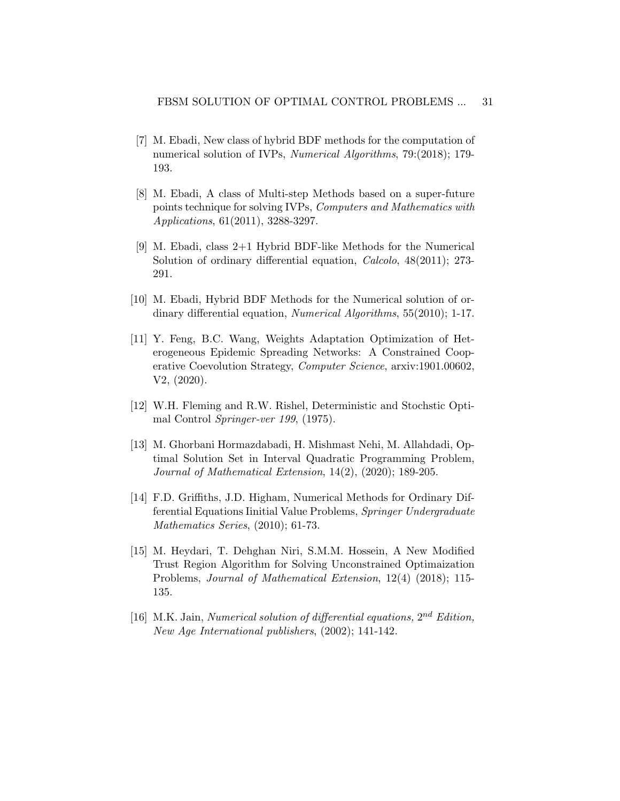- <span id="page-30-2"></span>[7] M. Ebadi, New class of hybrid BDF methods for the computation of numerical solution of IVPs, *Numerical Algorithms*, 79:(2018); 179-193.
- <span id="page-30-3"></span>[8] M. Ebadi, A class of Multi-step Methods based on a super-future points technique for solving IVPs, Computers and Mathematics with Applications, 61(2011), 3288-3297.
- <span id="page-30-4"></span>[9] M. Ebadi, class 2+1 Hybrid BDF-like Methods for the Numerical Solution of ordinary differential equation, *Calcolo*,  $48(2011)$ ; 273-291.
- <span id="page-30-5"></span>[10] M. Ebadi, Hybrid BDF Methods for the Numerical solution of ordinary differential equation, Numerical Algorithms, 55(2010); 1-17.
- <span id="page-30-0"></span>[11] Y. Feng, B.C. Wang, Weights Adaptation Optimization of Heterogeneous Epidemic Spreading Networks: A Constrained Cooperative Coevolution Strategy, Computer Science, arxiv:1901.00602, V2, (2020).
- [12] W.H. Fleming and R.W. Rishel, Deterministic and Stochstic Optimal Control Springer-ver 199, (1975).
- [13] M. Ghorbani Hormazdabadi, H. Mishmast Nehi, M. Allahdadi, Optimal Solution Set in Interval Quadratic Programming Problem, Journal of Mathematical Extension, 14(2), (2020); 189-205.
- <span id="page-30-7"></span>[14] F.D. Griffiths, J.D. Higham, Numerical Methods for Ordinary Differential Equations Iinitial Value Problems, Springer Undergraduate Mathematics Series, (2010); 61-73.
- <span id="page-30-1"></span>[15] M. Heydari, T. Dehghan Niri, S.M.M. Hossein, A New Modified Trust Region Algorithm for Solving Unconstrained Optimaization Problems, Journal of Mathematical Extension, 12(4) (2018); 115- 135.
- <span id="page-30-6"></span>[16] M.K. Jain, Numerical solution of differential equations,  $2^{nd}$  Edition, New Age International publishers, (2002); 141-142.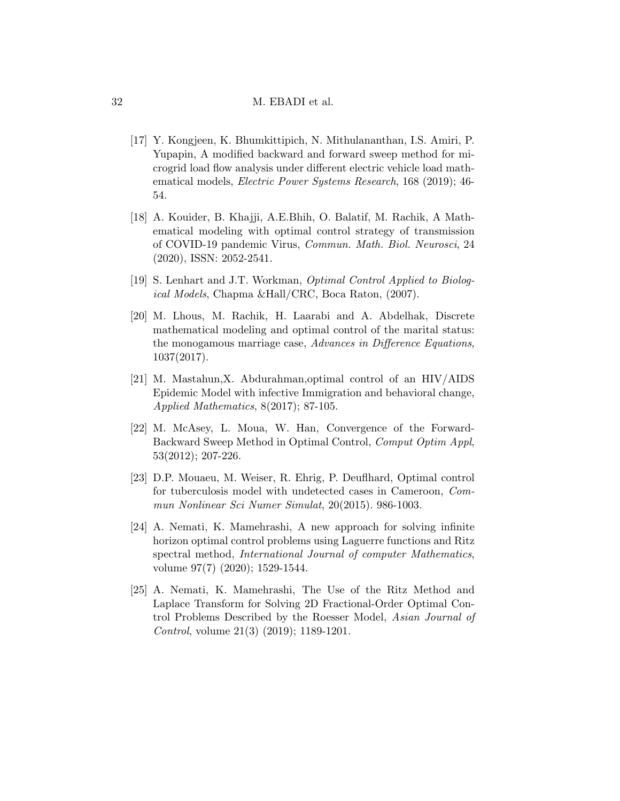- <span id="page-31-7"></span>[17] Y. Kongjeen, K. Bhumkittipich, N. Mithulananthan, I.S. Amiri, P. Yupapin, A modified backward and forward sweep method for microgrid load flow analysis under different electric vehicle load mathematical models, Electric Power Systems Research, 168 (2019); 46- 54.
- <span id="page-31-8"></span>[18] A. Kouider, B. Khajji, A.E.Bhih, O. Balatif, M. Rachik, A Mathematical modeling with optimal control strategy of transmission of COVID-19 pandemic Virus, Commun. Math. Biol. Neurosci, 24 (2020), ISSN: 2052-2541.
- <span id="page-31-3"></span>[19] S. Lenhart and J.T. Workman, Optimal Control Applied to Biological Models, Chapma &Hall/CRC, Boca Raton, (2007).
- <span id="page-31-6"></span>[20] M. Lhous, M. Rachik, H. Laarabi and A. Abdelhak, Discrete mathematical modeling and optimal control of the marital status: the monogamous marriage case, Advances in Difference Equations, 1037(2017).
- <span id="page-31-2"></span>[21] M. Mastahun,X. Abdurahman,optimal control of an HIV/AIDS Epidemic Model with infective Immigration and behavioral change, Applied Mathematics, 8(2017); 87-105.
- <span id="page-31-4"></span>[22] M. McAsey, L. Moua, W. Han, Convergence of the Forward-Backward Sweep Method in Optimal Control, Comput Optim Appl, 53(2012); 207-226.
- <span id="page-31-5"></span>[23] D.P. Mouaeu, M. Weiser, R. Ehrig, P. Deuflhard, Optimal control for tuberculosis model with undetected cases in Cameroon, Commun Nonlinear Sci Numer Simulat, 20(2015). 986-1003.
- <span id="page-31-0"></span>[24] A. Nemati, K. Mamehrashi, A new approach for solving infinite horizon optimal control problems using Laguerre functions and Ritz spectral method, International Journal of computer Mathematics, volume 97(7) (2020); 1529-1544.
- <span id="page-31-1"></span>[25] A. Nemati, K. Mamehrashi, The Use of the Ritz Method and Laplace Transform for Solving 2D Fractional-Order Optimal Control Problems Described by the Roesser Model, Asian Journal of Control, volume 21(3) (2019); 1189-1201.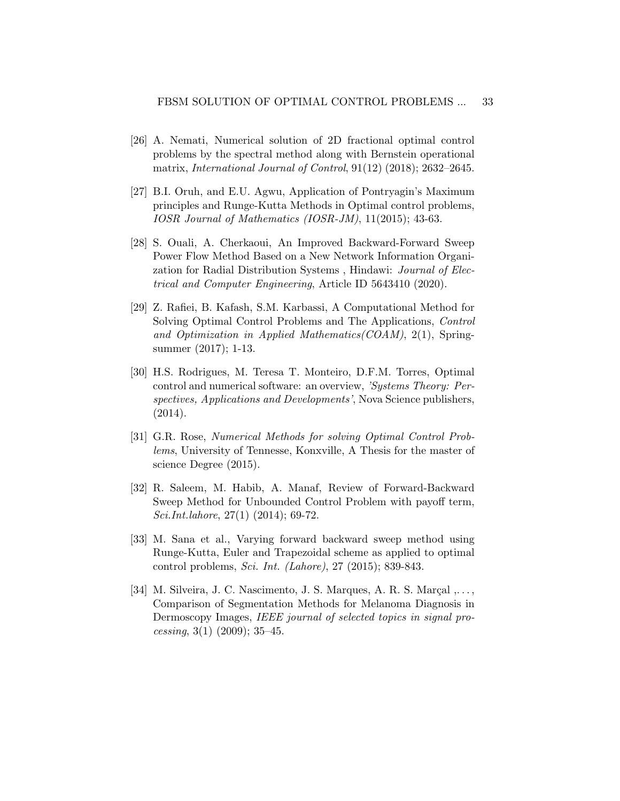- <span id="page-32-0"></span>[26] A. Nemati, Numerical solution of 2D fractional optimal control problems by the spectral method along with Bernstein operational matrix, International Journal of Control, 91(12) (2018); 2632–2645.
- <span id="page-32-1"></span>[27] B.I. Oruh, and E.U. Agwu, Application of Pontryagin's Maximum principles and Runge-Kutta Methods in Optimal control problems, IOSR Journal of Mathematics (IOSR-JM), 11(2015); 43-63.
- <span id="page-32-5"></span>[28] S. Ouali, A. Cherkaoui, An Improved Backward-Forward Sweep Power Flow Method Based on a New Network Information Organization for Radial Distribution Systems , Hindawi: Journal of Electrical and Computer Engineering, Article ID 5643410 (2020).
- <span id="page-32-6"></span>[29] Z. Rafiei, B. Kafash, S.M. Karbassi, A Computational Method for Solving Optimal Control Problems and The Applications, Control and Optimization in Applied Mathematics(COAM), 2(1), Springsummer (2017); 1-13.
- <span id="page-32-7"></span>[30] H.S. Rodrigues, M. Teresa T. Monteiro, D.F.M. Torres, Optimal control and numerical software: an overview, 'Systems Theory: Perspectives, Applications and Developments', Nova Science publishers, (2014).
- <span id="page-32-3"></span>[31] G.R. Rose, Numerical Methods for solving Optimal Control Problems, University of Tennesse, Konxville, A Thesis for the master of science Degree (2015).
- [32] R. Saleem, M. Habib, A. Manaf, Review of Forward-Backward Sweep Method for Unbounded Control Problem with payoff term, Sci.Int.lahore, 27(1) (2014); 69-72.
- <span id="page-32-4"></span>[33] M. Sana et al., Varying forward backward sweep method using Runge-Kutta, Euler and Trapezoidal scheme as applied to optimal control problems, Sci. Int. (Lahore), 27 (2015); 839-843.
- <span id="page-32-2"></span>[34] M. Silveira, J. C. Nascimento, J. S. Marques, A. R. S. Marçal  $,\ldots,$ Comparison of Segmentation Methods for Melanoma Diagnosis in Dermoscopy Images, IEEE journal of selected topics in signal processing,  $3(1)$  (2009);  $35-45$ .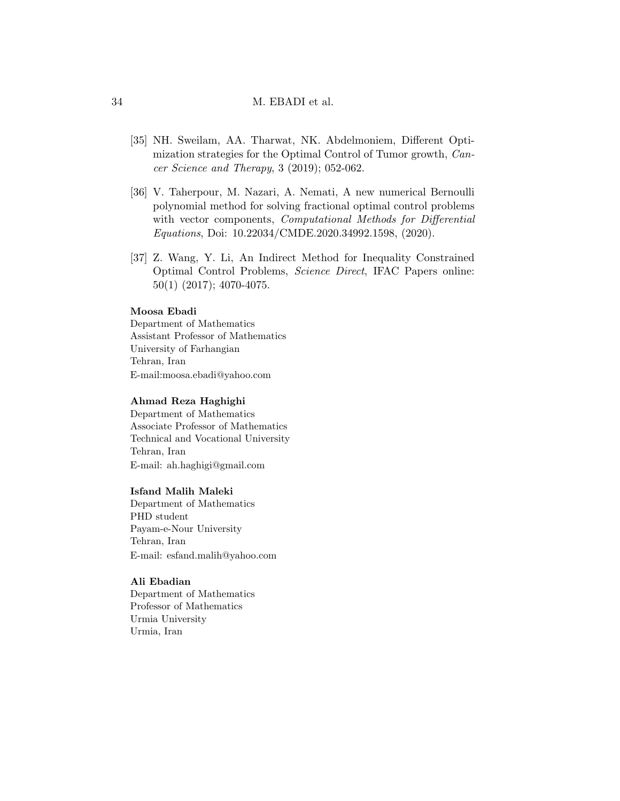- <span id="page-33-2"></span>[35] NH. Sweilam, AA. Tharwat, NK. Abdelmoniem, Different Optimization strategies for the Optimal Control of Tumor growth, Cancer Science and Therapy, 3 (2019); 052-062.
- <span id="page-33-0"></span>[36] V. Taherpour, M. Nazari, A. Nemati, A new numerical Bernoulli polynomial method for solving fractional optimal control problems with vector components, *Computational Methods for Differential* Equations, Doi: 10.22034/CMDE.2020.34992.1598, (2020).
- <span id="page-33-1"></span>[37] Z. Wang, Y. Li, An Indirect Method for Inequality Constrained Optimal Control Problems, Science Direct, IFAC Papers online: 50(1) (2017); 4070-4075.

## Moosa Ebadi

Department of Mathematics Assistant Professor of Mathematics University of Farhangian Tehran, Iran E-mail:moosa.ebadi@yahoo.com

### Ahmad Reza Haghighi

Department of Mathematics Associate Professor of Mathematics Technical and Vocational University Tehran, Iran E-mail: ah.haghigi@gmail.com

### Isfand Malih Maleki

Department of Mathematics PHD student Payam-e-Nour University Tehran, Iran E-mail: esfand.malih@yahoo.com

### Ali Ebadian

Department of Mathematics Professor of Mathematics Urmia University Urmia, Iran